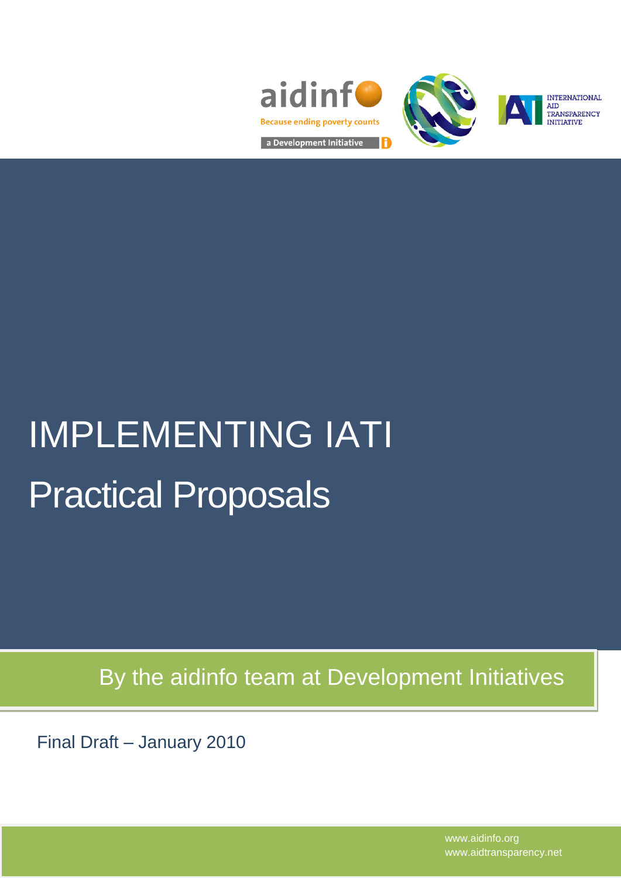





**INTERNATIONAL** TRANSPARENCY **TIATIVE** 

# IMPLEMENTING IATI Practical Proposals

By the aidinfo team at Development Initiatives

Final Draft – January 2010

www.aidinfo.org www.aidtransparency.net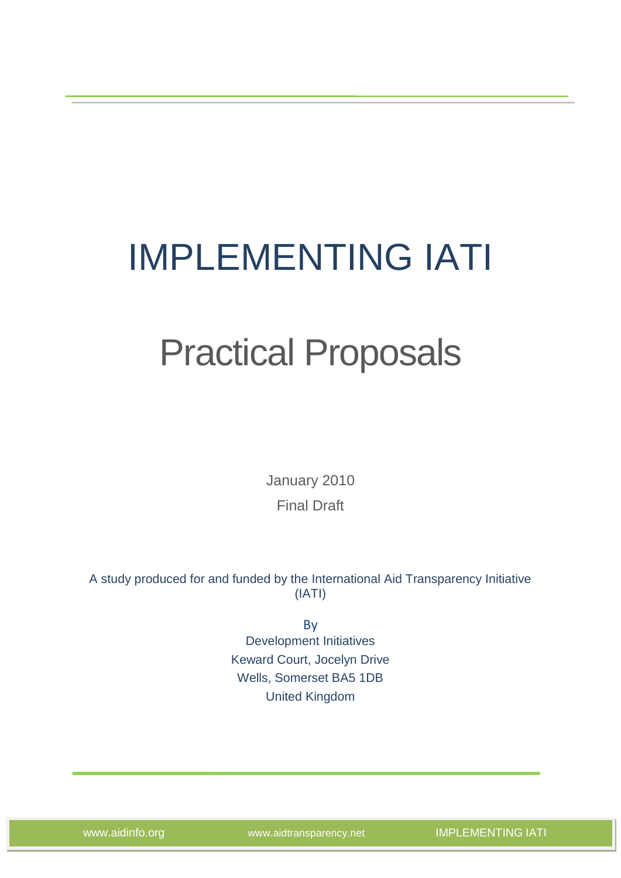## IMPLEMENTING IATI

## Practical Proposals

January 2010 Final Draft

A study produced for and funded by the International Aid Transparency Initiative (IATI)

> By Development Initiatives Keward Court, Jocelyn Drive Wells, Somerset BA5 1DB United Kingdom

www.aidinfo.org www.aidtransparency.net IMPLEMENTING IATI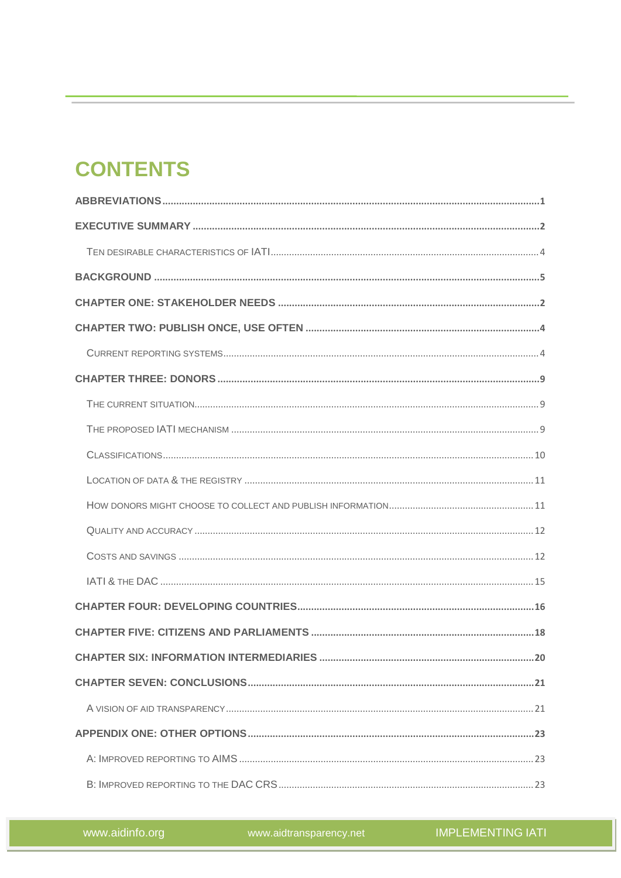## **CONTENTS**

www.aidtransparency.net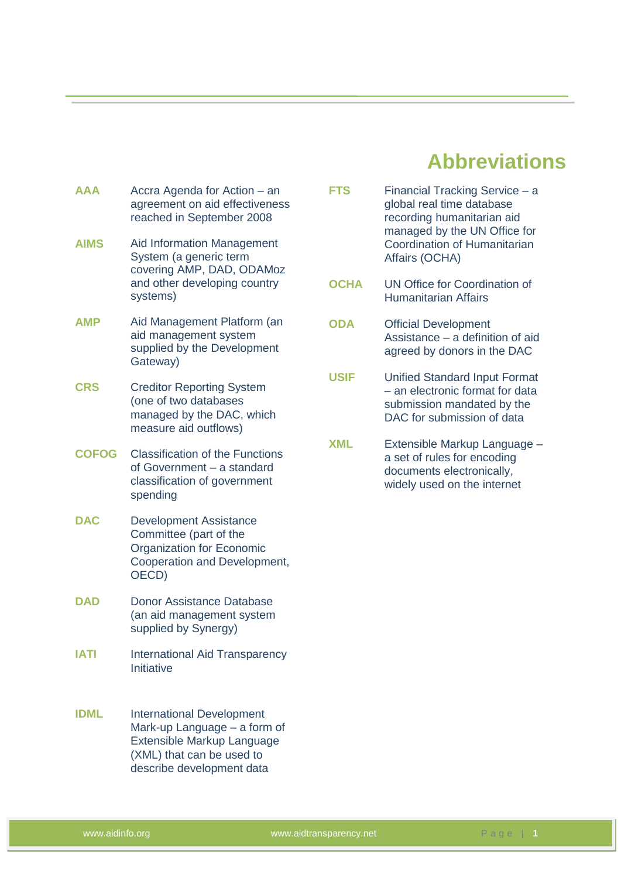## **Abbreviations**

- <span id="page-4-0"></span>**AAA** Accra Agenda for Action – an agreement on aid effectiveness reached in September 2008
- **AIMS** Aid Information Management System (a generic term covering AMP, DAD, ODAMoz and other developing country systems)
- **AMP** Aid Management Platform (an aid management system supplied by the Development Gateway)
- **CRS** Creditor Reporting System (one of two databases managed by the DAC, which measure aid outflows)
- **COFOG** Classification of the Functions of Government – a standard classification of government spending
- **DAC** Development Assistance Committee (part of the Organization for Economic Cooperation and Development, OECD)
- **DAD** Donor Assistance Database (an aid management system supplied by Synergy)
- **IATI** International Aid Transparency Initiative
- **IDML** International Development Mark-up Language – a form of Extensible Markup Language (XML) that can be used to describe development data
- **FTS** Financial Tracking Service a global real time database recording humanitarian aid managed by the UN Office for Coordination of Humanitarian Affairs (OCHA)
- **OCHA** UN Office for Coordination of Humanitarian Affairs
- **ODA** Official Development Assistance – a definition of aid agreed by donors in the DAC
- **USIF** Unified Standard Input Format – an electronic format for data submission mandated by the DAC for submission of data
- **XML** Extensible Markup Language a set of rules for encoding documents electronically, widely used on the internet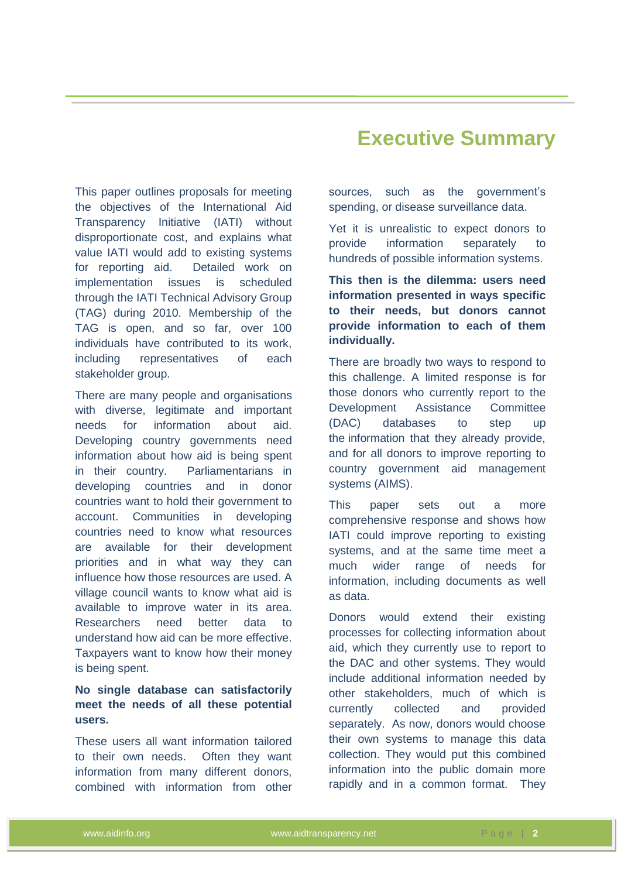#### This paper outlines proposals for meeting the objectives of the International Aid Transparency Initiative (IATI) without disproportionate cost, and explains what value IATI would add to existing systems for reporting aid. Detailed work on implementation issues is scheduled through the IATI Technical Advisory Group (TAG) during 2010. Membership of the TAG is open, and so far, over 100 individuals have contributed to its work, including representatives of each stakeholder group.

There are many people and organisations with diverse, legitimate and important needs for information about aid. Developing country governments need information about how aid is being spent in their country. Parliamentarians in developing countries and in donor countries want to hold their government to account. Communities in developing countries need to know what resources are available for their development priorities and in what way they can influence how those resources are used. A village council wants to know what aid is available to improve water in its area. Researchers need better data to understand how aid can be more effective. Taxpayers want to know how their money is being spent.

#### **No single database can satisfactorily meet the needs of all these potential users.**

These users all want information tailored to their own needs. Often they want information from many different donors, combined with information from other

## <span id="page-5-0"></span> **Executive Summary**

sources, such as the government's spending, or disease surveillance data.

Yet it is unrealistic to expect donors to provide information separately to hundreds of possible information systems.

**This then is the dilemma: users need information presented in ways specific to their needs, but donors cannot provide information to each of them individually.**

There are broadly two ways to respond to this challenge. A limited response is for those donors who currently report to the Development Assistance Committee (DAC) databases to step up the information that they already provide, and for all donors to improve reporting to country government aid management systems (AIMS).

This paper sets out a more comprehensive response and shows how IATI could improve reporting to existing systems, and at the same time meet a much wider range of needs for information, including documents as well as data.

Donors would extend their existing processes for collecting information about aid, which they currently use to report to the DAC and other systems. They would include additional information needed by other stakeholders, much of which is currently collected and provided separately. As now, donors would choose their own systems to manage this data collection. They would put this combined information into the public domain more rapidly and in a common format. They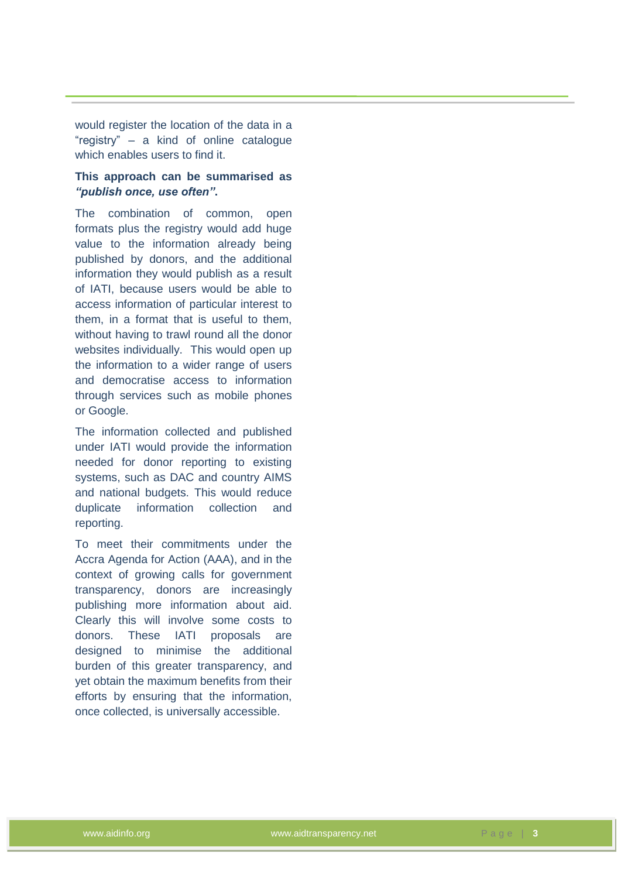would register the location of the data in a "registry" – a kind of online catalogue which enables users to find it.

#### **This approach can be summarised as**  *"publish once, use often"***.**

The combination of common, open formats plus the registry would add huge value to the information already being published by donors, and the additional information they would publish as a result of IATI, because users would be able to access information of particular interest to them, in a format that is useful to them, without having to trawl round all the donor websites individually. This would open up the information to a wider range of users and democratise access to information through services such as mobile phones or Google.

The information collected and published under IATI would provide the information needed for donor reporting to existing systems, such as DAC and country AIMS and national budgets. This would reduce duplicate information collection and reporting.

To meet their commitments under the Accra Agenda for Action (AAA), and in the context of growing calls for government transparency, donors are increasingly publishing more information about aid. Clearly this will involve some costs to donors. These IATI proposals are designed to minimise the additional burden of this greater transparency, and yet obtain the maximum benefits from their efforts by ensuring that the information, once collected, is universally accessible.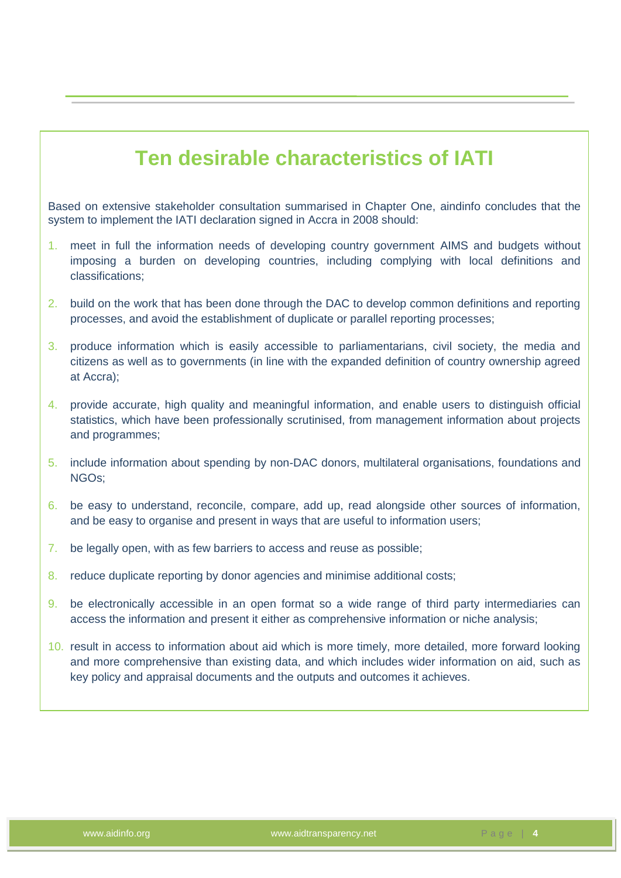## **Ten desirable characteristics of IATI**

Based on extensive stakeholder consultation summarised in Chapter One, aindinfo concludes that the system to implement the IATI declaration signed in Accra in 2008 should:

- 1. meet in full the information needs of developing country government AIMS and budgets without imposing a burden on developing countries, including complying with local definitions and classifications;
- 2. build on the work that has been done through the DAC to develop common definitions and reporting processes, and avoid the establishment of duplicate or parallel reporting processes;
- 3. produce information which is easily accessible to parliamentarians, civil society, the media and citizens as well as to governments (in line with the expanded definition of country ownership agreed at Accra);
- 4. provide accurate, high quality and meaningful information, and enable users to distinguish official statistics, which have been professionally scrutinised, from management information about projects and programmes;
- 5. include information about spending by non-DAC donors, multilateral organisations, foundations and NGOs;
- 6. be easy to understand, reconcile, compare, add up, read alongside other sources of information, and be easy to organise and present in ways that are useful to information users;
- 7. be legally open, with as few barriers to access and reuse as possible;
- 8. reduce duplicate reporting by donor agencies and minimise additional costs;
- 9. be electronically accessible in an open format so a wide range of third party intermediaries can access the information and present it either as comprehensive information or niche analysis;
- 10. result in access to information about aid which is more timely, more detailed, more forward looking and more comprehensive than existing data, and which includes wider information on aid, such as key policy and appraisal documents and the outputs and outcomes it achieves.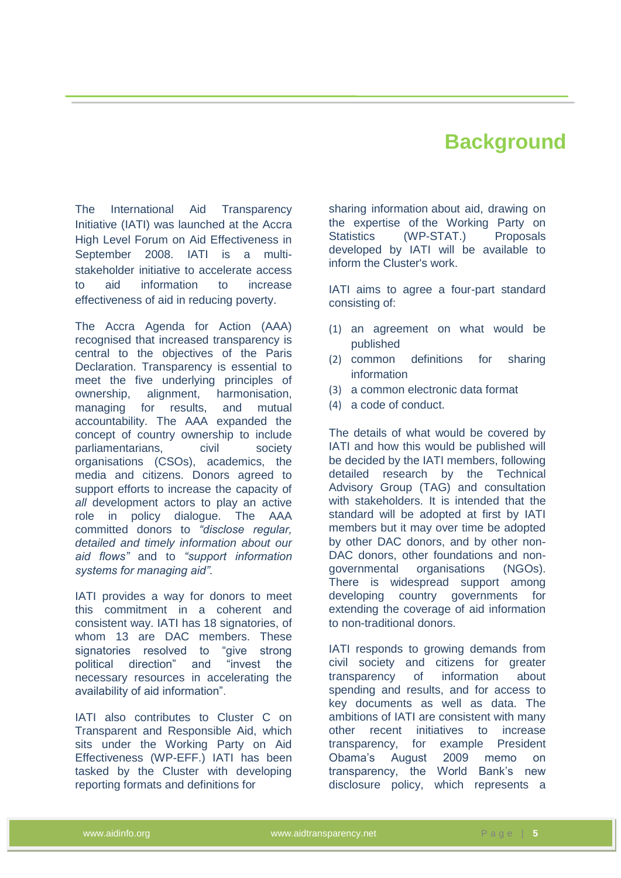## **Background**

<span id="page-8-0"></span>The International Aid Transparency Initiative (IATI) was launched at the Accra High Level Forum on Aid Effectiveness in September 2008. IATI is a multistakeholder initiative to accelerate access to aid information to increase effectiveness of aid in reducing poverty.

The Accra Agenda for Action (AAA) recognised that increased transparency is central to the objectives of the Paris Declaration. Transparency is essential to meet the five underlying principles of ownership, alignment, harmonisation, managing for results, and mutual accountability. The AAA expanded the concept of country ownership to include parliamentarians, civil society organisations (CSOs), academics, the media and citizens. Donors agreed to support efforts to increase the capacity of *all* development actors to play an active role in policy dialogue. The AAA committed donors to *"disclose regular, detailed and timely information about our aid flows"* and to *"support information systems for managing aid"*.

IATI provides a way for donors to meet this commitment in a coherent and consistent way. IATI has 18 signatories, of whom 13 are DAC members. These signatories resolved to "give strong political direction" and "invest the necessary resources in accelerating the availability of aid information".

IATI also contributes to Cluster C on Transparent and Responsible Aid, which sits under the Working Party on Aid Effectiveness (WP-EFF.) IATI has been tasked by the Cluster with developing reporting formats and definitions for

sharing information about aid, drawing on the expertise of the Working Party on Statistics (WP-STAT.) Proposals developed by IATI will be available to inform the Cluster's work.

IATI aims to agree a four-part standard consisting of:

- (1) an agreement on what would be published
- (2) common definitions for sharing information
- (3) a common electronic data format
- (4) a code of conduct.

The details of what would be covered by IATI and how this would be published will be decided by the IATI members, following detailed research by the Technical Advisory Group (TAG) and consultation with stakeholders. It is intended that the standard will be adopted at first by IATI members but it may over time be adopted by other DAC donors, and by other non-DAC donors, other foundations and nongovernmental organisations (NGOs). There is widespread support among developing country governments for extending the coverage of aid information to non-traditional donors.

IATI responds to growing demands from civil society and citizens for greater transparency of information about spending and results, and for access to key documents as well as data. The ambitions of IATI are consistent with many other recent initiatives to increase transparency, for example President Obama's August 2009 memo on transparency, the World Bank's new disclosure policy, which represents a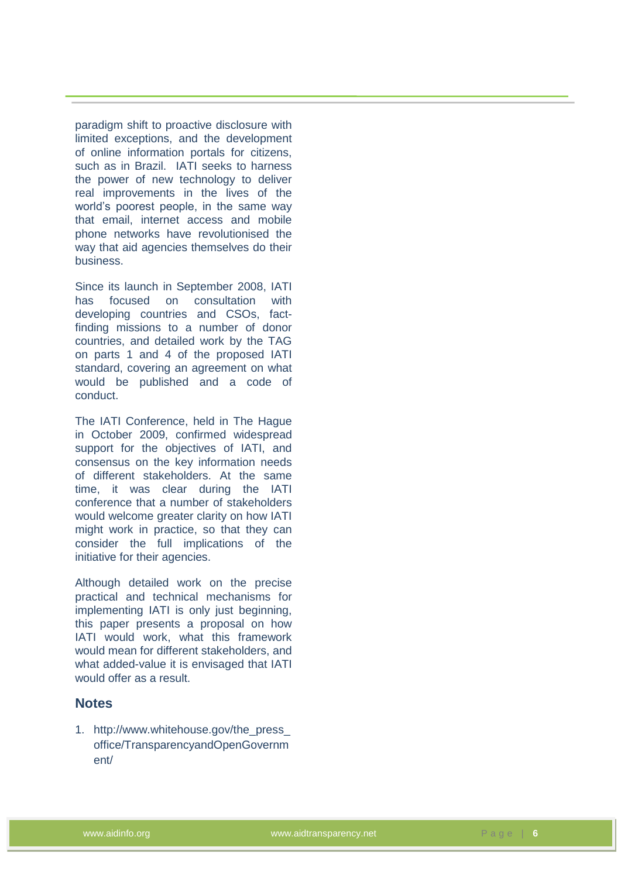paradigm shift to proactive disclosure with limited exceptions, and the development of online information portals for citizens, such as in Brazil. IATI seeks to harness the power of new technology to deliver real improvements in the lives of the world's poorest people, in the same way that email, internet access and mobile phone networks have revolutionised the way that aid agencies themselves do their business.

Since its launch in September 2008, IATI has focused on consultation with developing countries and CSOs, factfinding missions to a number of donor countries, and detailed work by the TAG on parts 1 and 4 of the proposed IATI standard, covering an agreement on what would be published and a code of conduct.

The IATI Conference, held in The Hague in October 2009, confirmed widespread support for the objectives of IATI, and consensus on the key information needs of different stakeholders. At the same time, it was clear during the IATI conference that a number of stakeholders would welcome greater clarity on how IATI might work in practice, so that they can consider the full implications of the initiative for their agencies.

Although detailed work on the precise practical and technical mechanisms for implementing IATI is only just beginning, this paper presents a proposal on how IATI would work, what this framework would mean for different stakeholders, and what added-value it is envisaged that IATI would offer as a result.

#### **Notes**

1. http://www.whitehouse.gov/the\_press\_ office/TransparencyandOpenGovernm ent/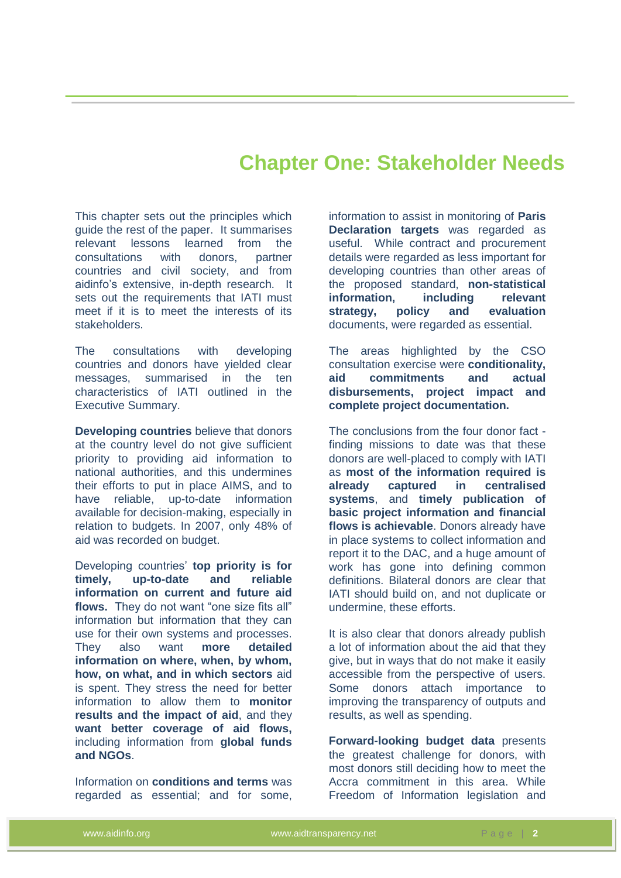### **Chapter One: Stakeholder Needs**

<span id="page-10-0"></span>This chapter sets out the principles which guide the rest of the paper. It summarises relevant lessons learned from the consultations with donors, partner countries and civil society, and from aidinfo's extensive, in-depth research. It sets out the requirements that IATI must meet if it is to meet the interests of its stakeholders.

The consultations with developing countries and donors have yielded clear messages, summarised in the ten characteristics of IATI outlined in the Executive Summary.

**Developing countries** believe that donors at the country level do not give sufficient priority to providing aid information to national authorities, and this undermines their efforts to put in place AIMS, and to have reliable, up-to-date information available for decision-making, especially in relation to budgets. In 2007, only 48% of aid was recorded on budget.

Developing countries' **top priority is for timely, up-to-date and reliable information on current and future aid flows.** They do not want "one size fits all" information but information that they can use for their own systems and processes. They also want **more detailed information on where, when, by whom, how, on what, and in which sectors** aid is spent. They stress the need for better information to allow them to **monitor results and the impact of aid**, and they **want better coverage of aid flows,** including information from **global funds and NGOs**.

Information on **conditions and terms** was regarded as essential; and for some, information to assist in monitoring of **Paris Declaration targets** was regarded as useful. While contract and procurement details were regarded as less important for developing countries than other areas of the proposed standard, **non-statistical information, including relevant strategy, policy and evaluation** documents, were regarded as essential.

The areas highlighted by the CSO consultation exercise were **conditionality, aid commitments and actual disbursements, project impact and complete project documentation.** 

The conclusions from the four donor fact finding missions to date was that these donors are well-placed to comply with IATI as **most of the information required is already captured in centralised systems**, and **timely publication of basic project information and financial flows is achievable**. Donors already have in place systems to collect information and report it to the DAC, and a huge amount of work has gone into defining common definitions. Bilateral donors are clear that IATI should build on, and not duplicate or undermine, these efforts.

It is also clear that donors already publish a lot of information about the aid that they give, but in ways that do not make it easily accessible from the perspective of users. Some donors attach importance to improving the transparency of outputs and results, as well as spending.

**Forward-looking budget data** presents the greatest challenge for donors, with most donors still deciding how to meet the Accra commitment in this area. While Freedom of Information legislation and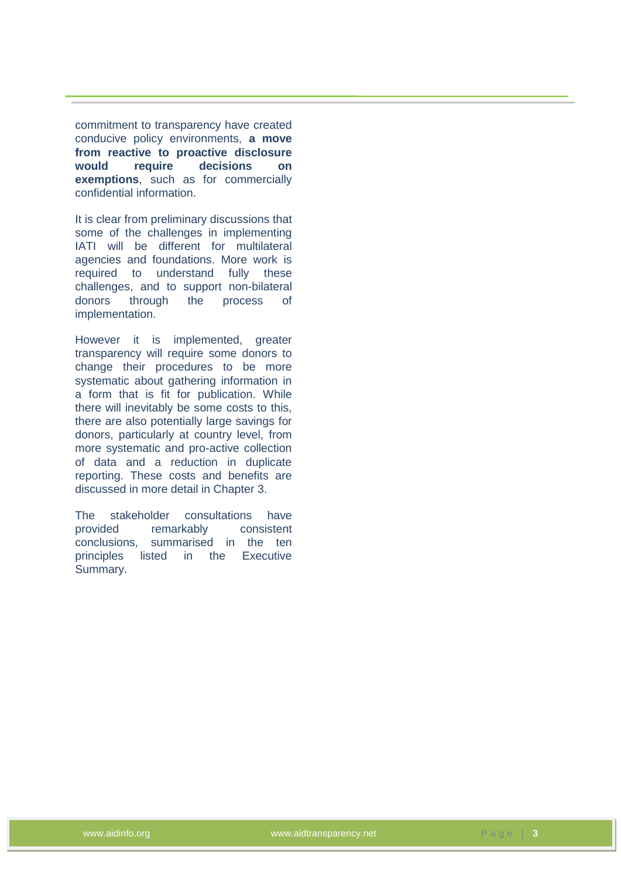commitment to transparency have created conducive policy environments, **a move from reactive to proactive disclosure would require decisions on exemptions**, such as for commercially confidential information.

It is clear from preliminary discussions that some of the challenges in implementing IATI will be different for multilateral agencies and foundations. More work is required to understand fully these challenges, and to support non-bilateral donors through the process of implementation.

However it is implemented, greater transparency will require some donors to change their procedures to be more systematic about gathering information in a form that is fit for publication. While there will inevitably be some costs to this, there are also potentially large savings for donors, particularly at country level, from more systematic and pro-active collection of data and a reduction in duplicate reporting. These costs and benefits are discussed in more detail in Chapter 3.

The stakeholder consultations have<br>provided remarkably consistent remarkably consistent conclusions, summarised in the ten principles listed in the Executive Summary.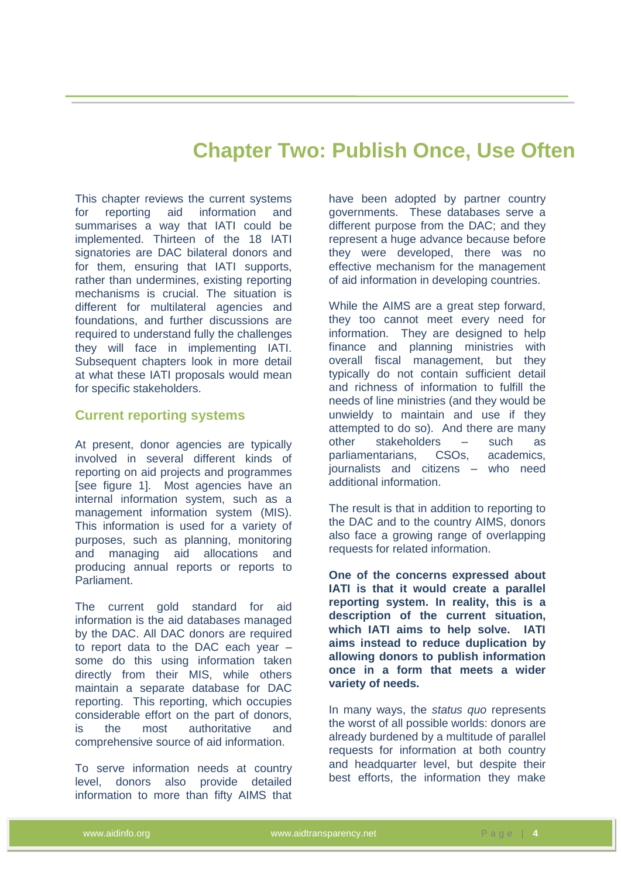## **Chapter Two: Publish Once, Use Often**

<span id="page-12-0"></span>This chapter reviews the current systems for reporting aid information and summarises a way that IATI could be implemented. Thirteen of the 18 IATI signatories are DAC bilateral donors and for them, ensuring that IATI supports, rather than undermines, existing reporting mechanisms is crucial. The situation is different for multilateral agencies and foundations, and further discussions are required to understand fully the challenges they will face in implementing IATI. Subsequent chapters look in more detail at what these IATI proposals would mean for specific stakeholders.

#### <span id="page-12-1"></span>**Current reporting systems**

At present, donor agencies are typically involved in several different kinds of reporting on aid projects and programmes [see figure 1]. Most agencies have an internal information system, such as a management information system (MIS). This information is used for a variety of purposes, such as planning, monitoring and managing aid allocations and producing annual reports or reports to Parliament.

The current gold standard for aid information is the aid databases managed by the DAC. All DAC donors are required to report data to the DAC each year – some do this using information taken directly from their MIS, while others maintain a separate database for DAC reporting. This reporting, which occupies considerable effort on the part of donors, is the most authoritative and comprehensive source of aid information.

To serve information needs at country level, donors also provide detailed information to more than fifty AIMS that have been adopted by partner country governments. These databases serve a different purpose from the DAC; and they represent a huge advance because before they were developed, there was no effective mechanism for the management of aid information in developing countries.

While the AIMS are a great step forward, they too cannot meet every need for information. They are designed to help finance and planning ministries with overall fiscal management, but they typically do not contain sufficient detail and richness of information to fulfill the needs of line ministries (and they would be unwieldy to maintain and use if they attempted to do so). And there are many other stakeholders – such as parliamentarians, CSOs, academics, journalists and citizens – who need additional information.

The result is that in addition to reporting to the DAC and to the country AIMS, donors also face a growing range of overlapping requests for related information.

**One of the concerns expressed about IATI is that it would create a parallel reporting system. In reality, this is a description of the current situation, which IATI aims to help solve. IATI aims instead to reduce duplication by allowing donors to publish information once in a form that meets a wider variety of needs.**

In many ways, the *status quo* represents the worst of all possible worlds: donors are already burdened by a multitude of parallel requests for information at both country and headquarter level, but despite their best efforts, the information they make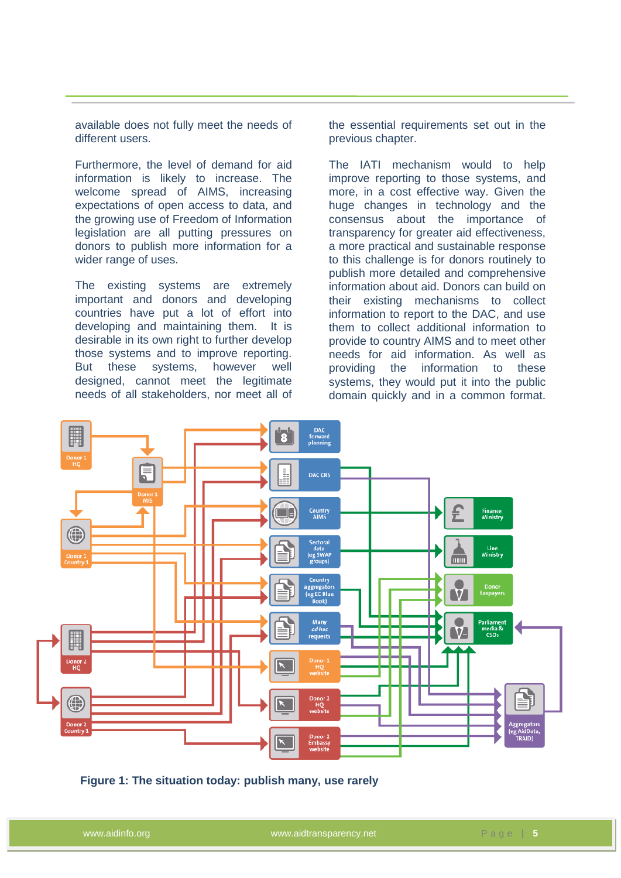available does not fully meet the needs of different users.

Furthermore, the level of demand for aid information is likely to increase. The welcome spread of AIMS, increasing expectations of open access to data, and the growing use of Freedom of Information legislation are all putting pressures on donors to publish more information for a wider range of uses.

The existing systems are extremely important and donors and developing countries have put a lot of effort into developing and maintaining them. It is desirable in its own right to further develop those systems and to improve reporting. But these systems, however well designed, cannot meet the legitimate needs of all stakeholders, nor meet all of the essential requirements set out in the previous chapter.

The IATI mechanism would to help improve reporting to those systems, and more, in a cost effective way. Given the huge changes in technology and the consensus about the importance of transparency for greater aid effectiveness, a more practical and sustainable response to this challenge is for donors routinely to publish more detailed and comprehensive information about aid. Donors can build on their existing mechanisms to collect information to report to the DAC, and use them to collect additional information to provide to country AIMS and to meet other needs for aid information. As well as providing the information to these systems, they would put it into the public domain quickly and in a common format.



**Figure 1: The situation today: publish many, use rarely**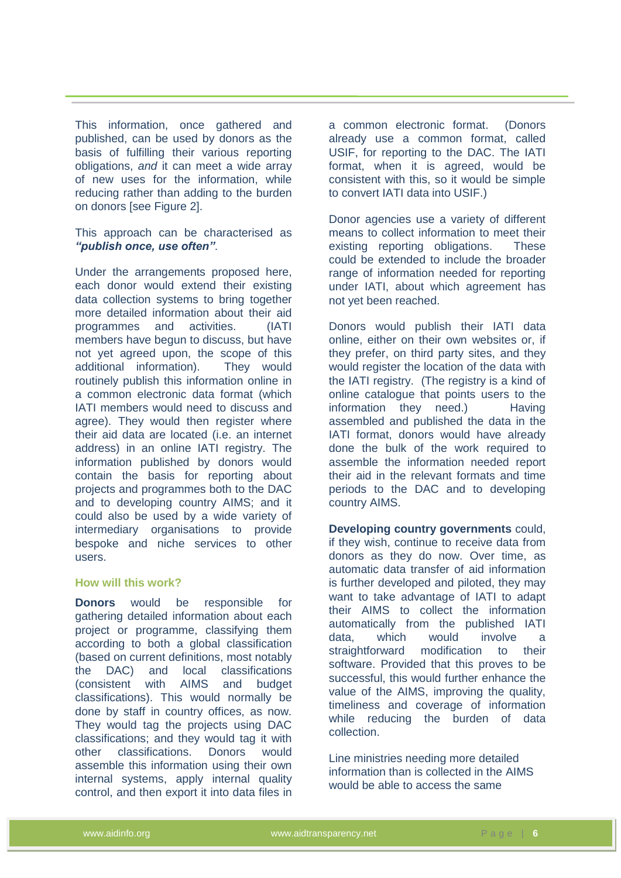This information, once gathered and published, can be used by donors as the basis of fulfilling their various reporting obligations, *and* it can meet a wide array of new uses for the information, while reducing rather than adding to the burden on donors [see Figure 2].

This approach can be characterised as *"publish once, use often"*.

Under the arrangements proposed here, each donor would extend their existing data collection systems to bring together more detailed information about their aid programmes and activities. (IATI members have begun to discuss, but have not yet agreed upon, the scope of this additional information). They would routinely publish this information online in a common electronic data format (which IATI members would need to discuss and agree). They would then register where their aid data are located (i.e. an internet address) in an online IATI registry. The information published by donors would contain the basis for reporting about projects and programmes both to the DAC and to developing country AIMS; and it could also be used by a wide variety of intermediary organisations to provide bespoke and niche services to other users.

#### **How will this work?**

**Donors** would be responsible for gathering detailed information about each project or programme, classifying them according to both a global classification (based on current definitions, most notably the DAC) and local classifications (consistent with AIMS and budget classifications). This would normally be done by staff in country offices, as now. They would tag the projects using DAC classifications; and they would tag it with other classifications. Donors would assemble this information using their own internal systems, apply internal quality control, and then export it into data files in a common electronic format. (Donors already use a common format, called USIF, for reporting to the DAC. The IATI format, when it is agreed, would be consistent with this, so it would be simple to convert IATI data into USIF.)

Donor agencies use a variety of different means to collect information to meet their existing reporting obligations. These could be extended to include the broader range of information needed for reporting under IATI, about which agreement has not yet been reached.

Donors would publish their IATI data online, either on their own websites or, if they prefer, on third party sites, and they would register the location of the data with the IATI registry. (The registry is a kind of online catalogue that points users to the information they need.) Having assembled and published the data in the IATI format, donors would have already done the bulk of the work required to assemble the information needed report their aid in the relevant formats and time periods to the DAC and to developing country AIMS.

**Developing country governments** could, if they wish, continue to receive data from donors as they do now. Over time, as automatic data transfer of aid information is further developed and piloted, they may want to take advantage of IATI to adapt their AIMS to collect the information automatically from the published IATI data, which would involve a straightforward modification to their software. Provided that this proves to be successful, this would further enhance the value of the AIMS, improving the quality, timeliness and coverage of information while reducing the burden of data collection.

Line ministries needing more detailed information than is collected in the AIMS would be able to access the same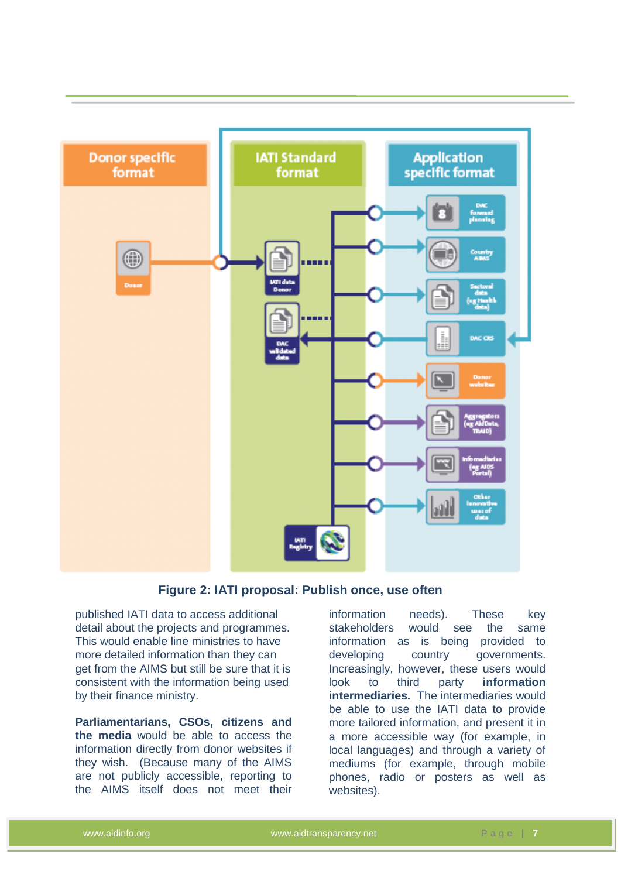

#### **Figure 2: IATI proposal: Publish once, use often**

published IATI data to access additional detail about the projects and programmes. This would enable line ministries to have more detailed information than they can get from the AIMS but still be sure that it is consistent with the information being used by their finance ministry.

**Parliamentarians, CSOs, citizens and the media** would be able to access the information directly from donor websites if they wish. (Because many of the AIMS are not publicly accessible, reporting to the AIMS itself does not meet their

information needs). These key stakeholders would see the same information as is being provided to developing country governments. Increasingly, however, these users would look to third party **information intermediaries.** The intermediaries would be able to use the IATI data to provide more tailored information, and present it in a more accessible way (for example, in local languages) and through a variety of mediums (for example, through mobile phones, radio or posters as well as websites).

www.aidinfo.org **www.aidtransparency.net** P a g e | **7**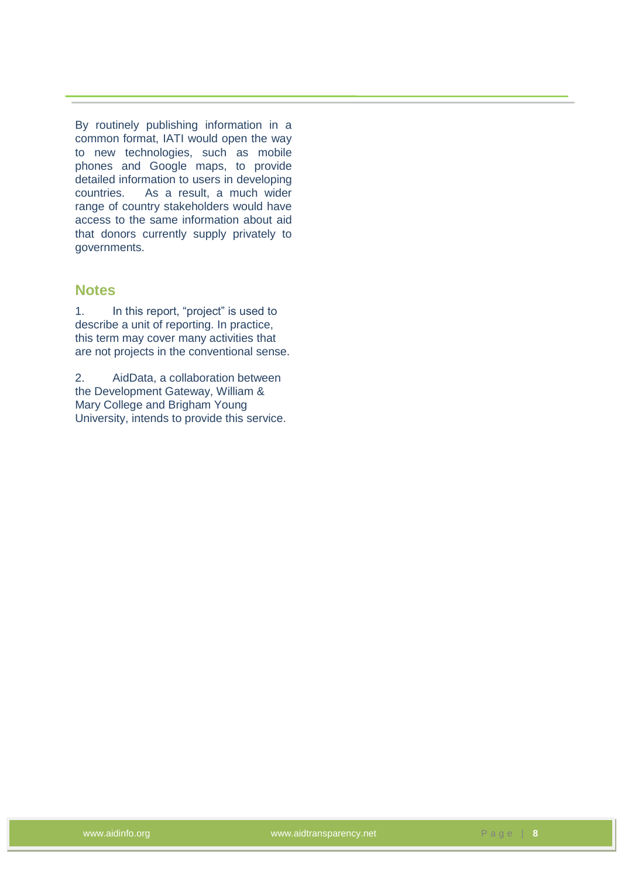By routinely publishing information in a common format, IATI would open the way to new technologies, such as mobile phones and Google maps, to provide detailed information to users in developing countries. As a result, a much wider range of country stakeholders would have access to the same information about aid that donors currently supply privately to governments.

#### **Notes**

1. In this report, "project" is used to describe a unit of reporting. In practice, this term may cover many activities that are not projects in the conventional sense.

2. AidData, a collaboration between the Development Gateway, William & Mary College and Brigham Young University, intends to provide this service.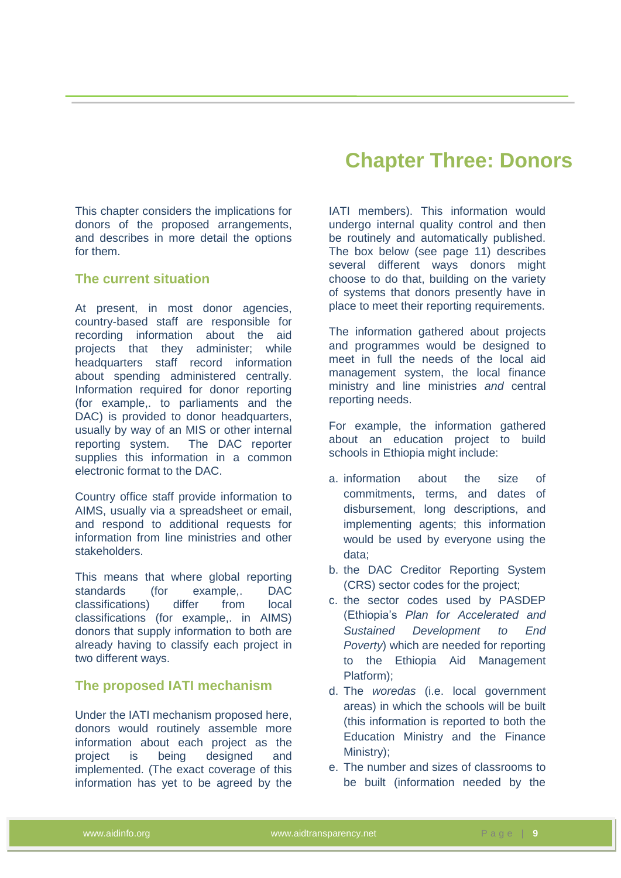## **Chapter Three: Donors**

<span id="page-17-0"></span>This chapter considers the implications for donors of the proposed arrangements, and describes in more detail the options for them.

#### <span id="page-17-1"></span>**The current situation**

At present, in most donor agencies, country-based staff are responsible for recording information about the aid projects that they administer; while headquarters staff record information about spending administered centrally. Information required for donor reporting (for example,. to parliaments and the DAC) is provided to donor headquarters, usually by way of an MIS or other internal reporting system. The DAC reporter supplies this information in a common electronic format to the DAC.

Country office staff provide information to AIMS, usually via a spreadsheet or email, and respond to additional requests for information from line ministries and other stakeholders.

This means that where global reporting standards (for example,. DAC classifications) differ from local classifications (for example,. in AIMS) donors that supply information to both are already having to classify each project in two different ways.

#### <span id="page-17-2"></span>**The proposed IATI mechanism**

Under the IATI mechanism proposed here, donors would routinely assemble more information about each project as the project is being designed and implemented. (The exact coverage of this information has yet to be agreed by the IATI members). This information would undergo internal quality control and then be routinely and automatically published. The box below (see page 11) describes several different ways donors might choose to do that, building on the variety of systems that donors presently have in place to meet their reporting requirements.

The information gathered about projects and programmes would be designed to meet in full the needs of the local aid management system, the local finance ministry and line ministries *and* central reporting needs.

For example, the information gathered about an education project to build schools in Ethiopia might include:

- a. information about the size of commitments, terms, and dates of disbursement, long descriptions, and implementing agents; this information would be used by everyone using the data;
- b. the DAC Creditor Reporting System (CRS) sector codes for the project;
- c. the sector codes used by PASDEP (Ethiopia's *Plan for Accelerated and Sustained Development to End Poverty*) which are needed for reporting to the Ethiopia Aid Management Platform);
- d. The *woredas* (i.e. local government areas) in which the schools will be built (this information is reported to both the Education Ministry and the Finance Ministry);
- e. The number and sizes of classrooms to be built (information needed by the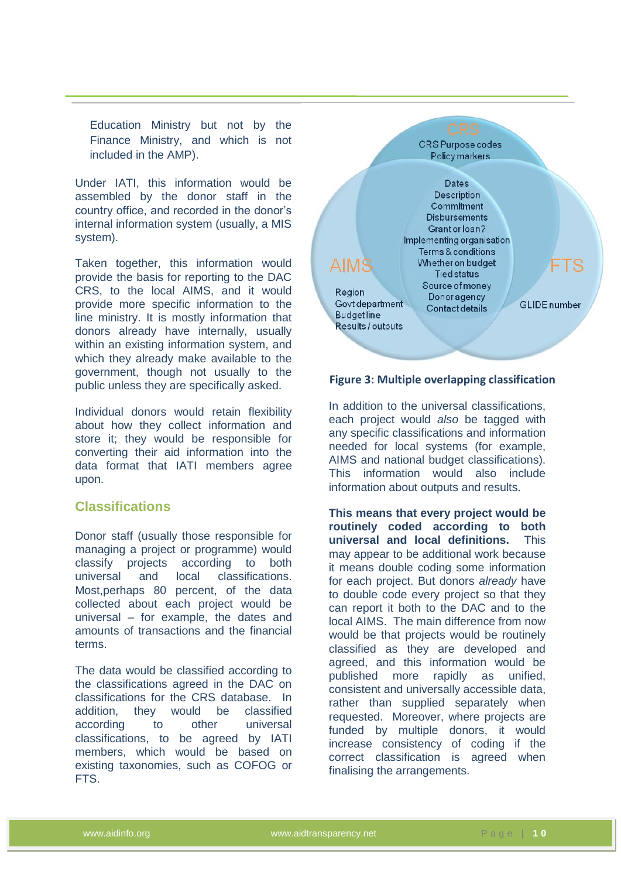Education Ministry but not by the Finance Ministry, and which is not included in the AMP).

Under IATI, this information would be assembled by the donor staff in the country office, and recorded in the donor's internal information system (usually, a MIS system).

Taken together, this information would provide the basis for reporting to the DAC CRS, to the local AIMS, and it would provide more specific information to the line ministry. It is mostly information that donors already have internally, usually within an existing information system, and which they already make available to the government, though not usually to the public unless they are specifically asked.

Individual donors would retain flexibility about how they collect information and store it; they would be responsible for converting their aid information into the data format that IATI members agree upon.

#### <span id="page-18-0"></span>**Classifications**

Donor staff (usually those responsible for managing a project or programme) would classify projects according to both universal and local classifications. Most,perhaps 80 percent, of the data collected about each project would be universal – for example, the dates and amounts of transactions and the financial terms.

The data would be classified according to the classifications agreed in the DAC on classifications for the CRS database. In addition, they would be classified according to other universal classifications, to be agreed by IATI members, which would be based on existing taxonomies, such as COFOG or FTS.



#### **Figure 3: Multiple overlapping classification**

In addition to the universal classifications, each project would *also* be tagged with any specific classifications and information needed for local systems (for example, AIMS and national budget classifications). This information would also include information about outputs and results.

**This means that every project would be routinely coded according to both universal and local definitions.** This may appear to be additional work because it means double coding some information for each project. But donors *already* have to double code every project so that they can report it both to the DAC and to the local AIMS. The main difference from now would be that projects would be routinely classified as they are developed and agreed, and this information would be published more rapidly as unified, consistent and universally accessible data, rather than supplied separately when requested. Moreover, where projects are funded by multiple donors, it would increase consistency of coding if the correct classification is agreed when finalising the arrangements.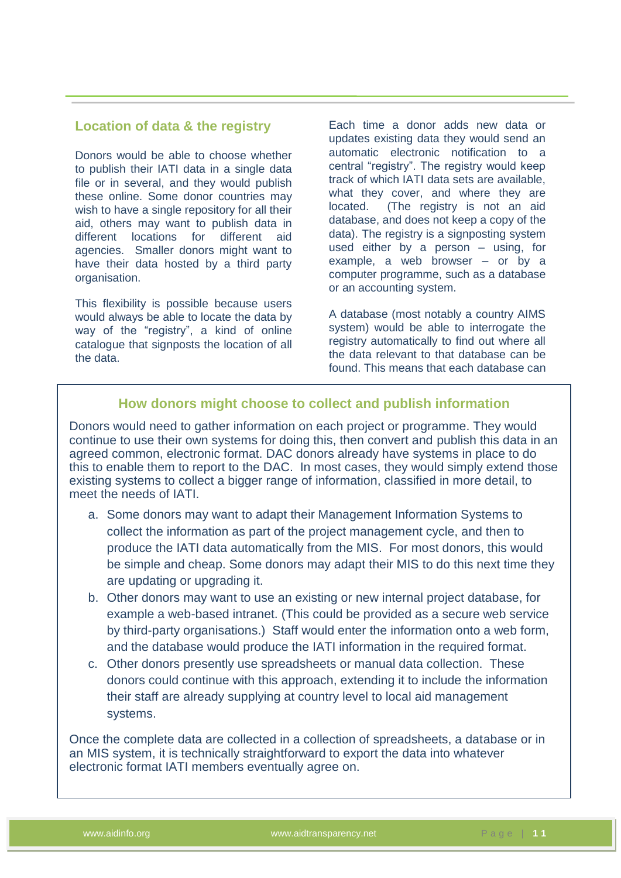#### <span id="page-19-0"></span>**Location of data & the registry**

Donors would be able to choose whether to publish their IATI data in a single data file or in several, and they would publish these online. Some donor countries may wish to have a single repository for all their aid, others may want to publish data in different locations for different aid agencies. Smaller donors might want to have their data hosted by a third party organisation.

This flexibility is possible because users would always be able to locate the data by way of the "registry", a kind of online catalogue that signposts the location of all the data.

Each time a donor adds new data or updates existing data they would send an automatic electronic notification to a central "registry". The registry would keep track of which IATI data sets are available, what they cover, and where they are located. (The registry is not an aid database, and does not keep a copy of the data). The registry is a signposting system used either by a person – using, for example, a web browser – or by a computer programme, such as a database or an accounting system.

A database (most notably a country AIMS system) would be able to interrogate the registry automatically to find out where all the data relevant to that database can be found. This means that each database can

#### **How donors might choose to collect and publish information**

Donors would need to gather information on each project or programme. They would continue to use their own systems for doing this, then convert and publish this data in an agreed common, electronic format. DAC donors already have systems in place to do this to enable them to report to the DAC. In most cases, they would simply extend those existing systems to collect a bigger range of information, classified in more detail, to meet the needs of IATI.

- a. Some donors may want to adapt their Management Information Systems to collect the information as part of the project management cycle, and then to produce the IATI data automatically from the MIS. For most donors, this would be simple and cheap. Some donors may adapt their MIS to do this next time they are updating or upgrading it.
- b. Other donors may want to use an existing or new internal project database, for example a web-based intranet. (This could be provided as a secure web service by third-party organisations.) Staff would enter the information onto a web form, and the database would produce the IATI information in the required format.
- c. Other donors presently use spreadsheets or manual data collection. These donors could continue with this approach, extending it to include the information their staff are already supplying at country level to local aid management systems.

Once the complete data are collected in a collection of spreadsheets, a database or in an MIS system, it is technically straightforward to export the data into whatever electronic format IATI members eventually agree on.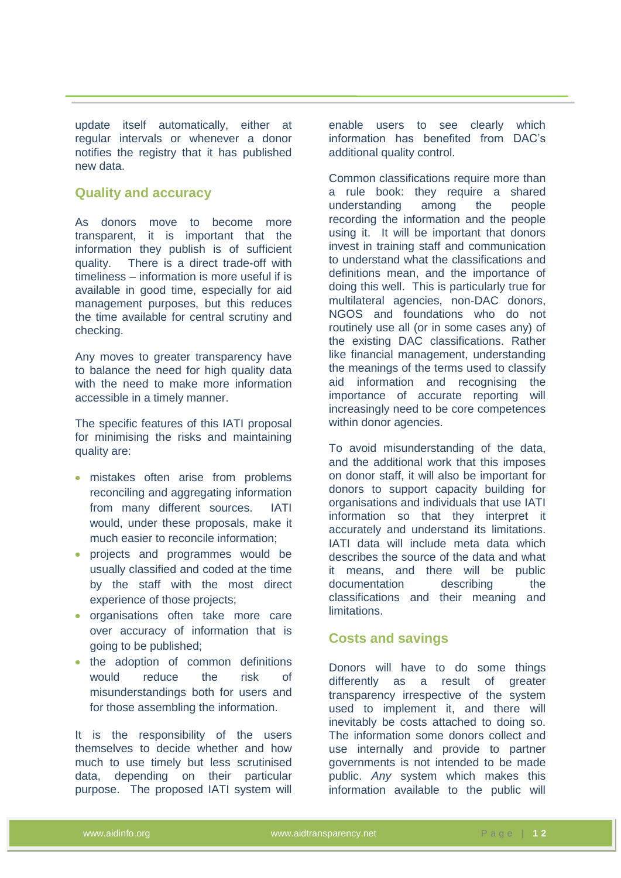update itself automatically, either at regular intervals or whenever a donor notifies the registry that it has published new data.

#### <span id="page-20-0"></span>**Quality and accuracy**

As donors move to become more transparent, it is important that the information they publish is of sufficient quality. There is a direct trade-off with timeliness – information is more useful if is available in good time, especially for aid management purposes, but this reduces the time available for central scrutiny and checking.

Any moves to greater transparency have to balance the need for high quality data with the need to make more information accessible in a timely manner.

The specific features of this IATI proposal for minimising the risks and maintaining quality are:

- mistakes often arise from problems reconciling and aggregating information from many different sources. IATI would, under these proposals, make it much easier to reconcile information;
- projects and programmes would be usually classified and coded at the time by the staff with the most direct experience of those projects;
- organisations often take more care over accuracy of information that is going to be published;
- the adoption of common definitions would reduce the risk of misunderstandings both for users and for those assembling the information.

It is the responsibility of the users themselves to decide whether and how much to use timely but less scrutinised data, depending on their particular purpose. The proposed IATI system will

enable users to see clearly which information has benefited from DAC's additional quality control.

Common classifications require more than a rule book: they require a shared understanding among the people recording the information and the people using it. It will be important that donors invest in training staff and communication to understand what the classifications and definitions mean, and the importance of doing this well. This is particularly true for multilateral agencies, non-DAC donors, NGOS and foundations who do not routinely use all (or in some cases any) of the existing DAC classifications. Rather like financial management, understanding the meanings of the terms used to classify aid information and recognising the importance of accurate reporting will increasingly need to be core competences within donor agencies.

To avoid misunderstanding of the data, and the additional work that this imposes on donor staff, it will also be important for donors to support capacity building for organisations and individuals that use IATI information so that they interpret it accurately and understand its limitations. IATI data will include meta data which describes the source of the data and what it means, and there will be public documentation describing the classifications and their meaning and limitations.

#### <span id="page-20-1"></span>**Costs and savings**

Donors will have to do some things differently as a result of greater transparency irrespective of the system used to implement it, and there will inevitably be costs attached to doing so. The information some donors collect and use internally and provide to partner governments is not intended to be made public. *Any* system which makes this information available to the public will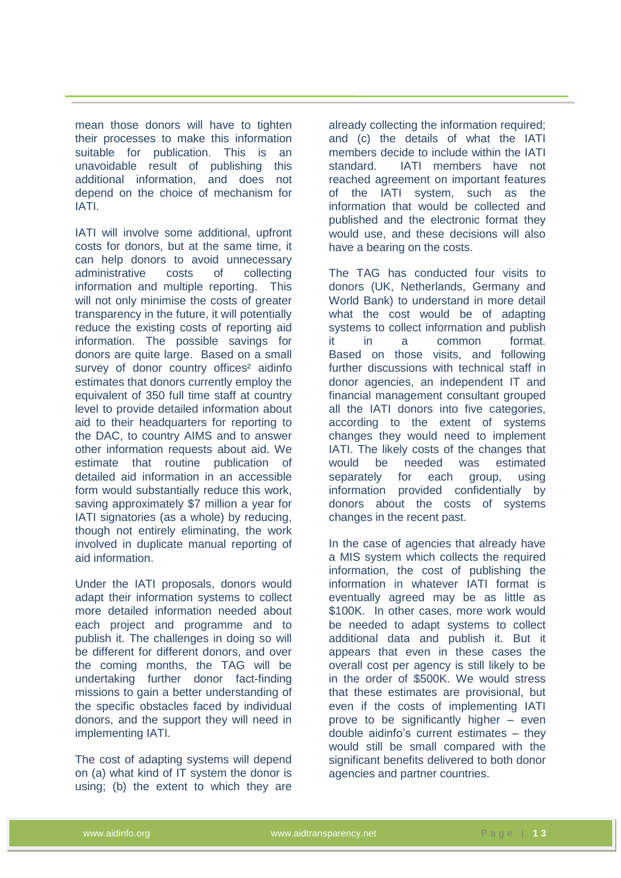mean those donors will have to tighten their processes to make this information suitable for publication. This is an unavoidable result of publishing this additional information, and does not depend on the choice of mechanism for IATI.

IATI will involve some additional, upfront costs for donors, but at the same time, it can help donors to avoid unnecessary administrative costs of collecting information and multiple reporting. This will not only minimise the costs of greater transparency in the future, it will potentially reduce the existing costs of reporting aid information. The possible savings for donors are quite large. Based on a small survey of donor country offices<sup>2</sup> aidinfo estimates that donors currently employ the equivalent of 350 full time staff at country level to provide detailed information about aid to their headquarters for reporting to the DAC, to country AIMS and to answer other information requests about aid. We estimate that routine publication of detailed aid information in an accessible form would substantially reduce this work, saving approximately \$7 million a year for IATI signatories (as a whole) by reducing, though not entirely eliminating, the work involved in duplicate manual reporting of aid information.

Under the IATI proposals, donors would adapt their information systems to collect more detailed information needed about each project and programme and to publish it. The challenges in doing so will be different for different donors, and over the coming months, the TAG will be undertaking further donor fact-finding missions to gain a better understanding of the specific obstacles faced by individual donors, and the support they will need in implementing IATI.

The cost of adapting systems will depend on (a) what kind of IT system the donor is using; (b) the extent to which they are

already collecting the information required; and (c) the details of what the IATI members decide to include within the IATI standard. IATI members have not reached agreement on important features of the IATI system, such as the information that would be collected and published and the electronic format they would use, and these decisions will also have a bearing on the costs.

The TAG has conducted four visits to donors (UK, Netherlands, Germany and World Bank) to understand in more detail what the cost would be of adapting systems to collect information and publish it in a common format. Based on those visits, and following further discussions with technical staff in donor agencies, an independent IT and financial management consultant grouped all the IATI donors into five categories, according to the extent of systems changes they would need to implement IATI. The likely costs of the changes that would be needed was estimated separately for each group, using information provided confidentially by donors about the costs of systems changes in the recent past.

In the case of agencies that already have a MIS system which collects the required information, the cost of publishing the information in whatever IATI format is eventually agreed may be as little as \$100K. In other cases, more work would be needed to adapt systems to collect additional data and publish it. But it appears that even in these cases the overall cost per agency is still likely to be in the order of \$500K. We would stress that these estimates are provisional, but even if the costs of implementing IATI prove to be significantly higher – even double aidinfo's current estimates – they would still be small compared with the significant benefits delivered to both donor agencies and partner countries.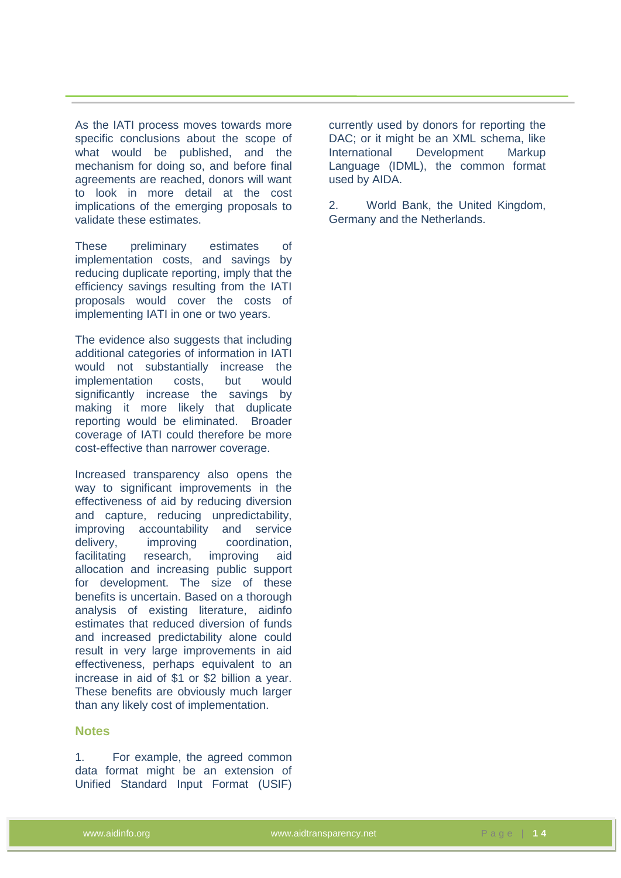As the IATI process moves towards more specific conclusions about the scope of what would be published, and the mechanism for doing so, and before final agreements are reached, donors will want to look in more detail at the cost implications of the emerging proposals to validate these estimates.

These preliminary estimates of implementation costs, and savings by reducing duplicate reporting, imply that the efficiency savings resulting from the IATI proposals would cover the costs of implementing IATI in one or two years.

The evidence also suggests that including additional categories of information in IATI would not substantially increase the implementation costs, but would significantly increase the savings by making it more likely that duplicate reporting would be eliminated. Broader coverage of IATI could therefore be more cost-effective than narrower coverage.

Increased transparency also opens the way to significant improvements in the effectiveness of aid by reducing diversion and capture, reducing unpredictability, improving accountability and service delivery, improving coordination, facilitating research, improving aid allocation and increasing public support for development. The size of these benefits is uncertain. Based on a thorough analysis of existing literature, aidinfo estimates that reduced diversion of funds and increased predictability alone could result in very large improvements in aid effectiveness, perhaps equivalent to an increase in aid of \$1 or \$2 billion a year. These benefits are obviously much larger than any likely cost of implementation.

#### **Notes**

1. For example, the agreed common data format might be an extension of Unified Standard Input Format (USIF) currently used by donors for reporting the DAC; or it might be an XML schema, like International Development Markup Language (IDML), the common format used by AIDA.

2. World Bank, the United Kingdom, Germany and the Netherlands.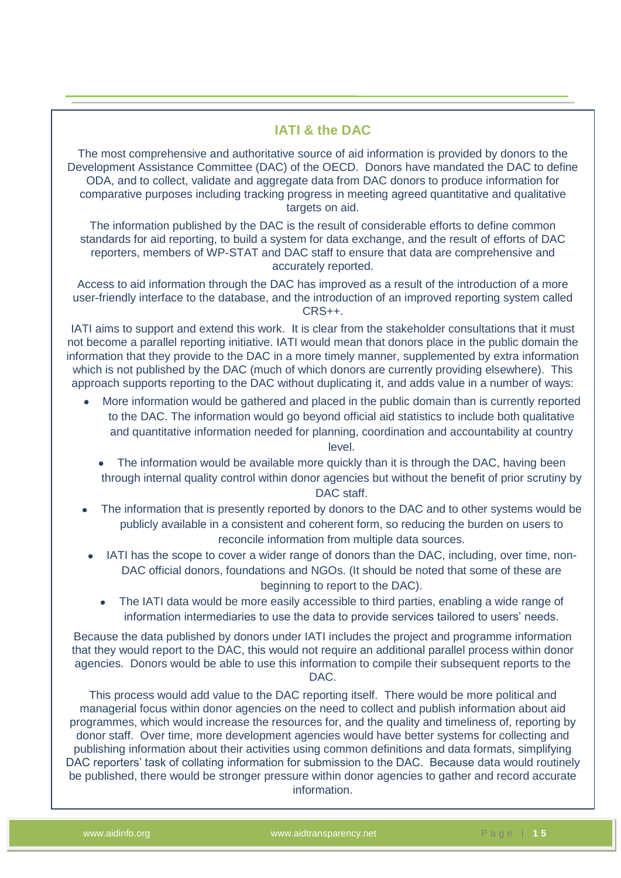#### **IATI & the DAC**

The most comprehensive and authoritative source of aid information is provided by donors to the Development Assistance Committee (DAC) of the OECD. Donors have mandated the DAC to define ODA, and to collect, validate and aggregate data from DAC donors to produce information for comparative purposes including tracking progress in meeting agreed quantitative and qualitative targets on aid.

The information published by the DAC is the result of considerable efforts to define common standards for aid reporting, to build a system for data exchange, and the result of efforts of DAC reporters, members of WP-STAT and DAC staff to ensure that data are comprehensive and accurately reported.

Access to aid information through the DAC has improved as a result of the introduction of a more user-friendly interface to the database, and the introduction of an improved reporting system called CRS++.

IATI aims to support and extend this work. It is clear from the stakeholder consultations that it must not become a parallel reporting initiative. IATI would mean that donors place in the public domain the information that they provide to the DAC in a more timely manner, supplemented by extra information which is not published by the DAC (much of which donors are currently providing elsewhere). This approach supports reporting to the DAC without duplicating it, and adds value in a number of ways:

- More information would be gathered and placed in the public domain than is currently reported to the DAC. The information would go beyond official aid statistics to include both qualitative and quantitative information needed for planning, coordination and accountability at country level.
	- The information would be available more quickly than it is through the DAC, having been through internal quality control within donor agencies but without the benefit of prior scrutiny by DAC staff.
- The information that is presently reported by donors to the DAC and to other systems would be publicly available in a consistent and coherent form, so reducing the burden on users to reconcile information from multiple data sources.
- IATI has the scope to cover a wider range of donors than the DAC, including, over time, non-DAC official donors, foundations and NGOs. (It should be noted that some of these are beginning to report to the DAC).
	- The IATI data would be more easily accessible to third parties, enabling a wide range of information intermediaries to use the data to provide services tailored to users' needs.

Because the data published by donors under IATI includes the project and programme information that they would report to the DAC, this would not require an additional parallel process within donor agencies. Donors would be able to use this information to compile their subsequent reports to the DAC.

This process would add value to the DAC reporting itself. There would be more political and managerial focus within donor agencies on the need to collect and publish information about aid programmes, which would increase the resources for, and the quality and timeliness of, reporting by donor staff. Over time, more development agencies would have better systems for collecting and publishing information about their activities using common definitions and data formats, simplifying DAC reporters' task of collating information for submission to the DAC. Because data would routinely be published, there would be stronger pressure within donor agencies to gather and record accurate information.

 $\mathcal{L}$  statistics, assembled with more elaborate systems of  $\mathcal{L}$  and  $\mathcal{L}$  consistency and  $\mathcal{L}$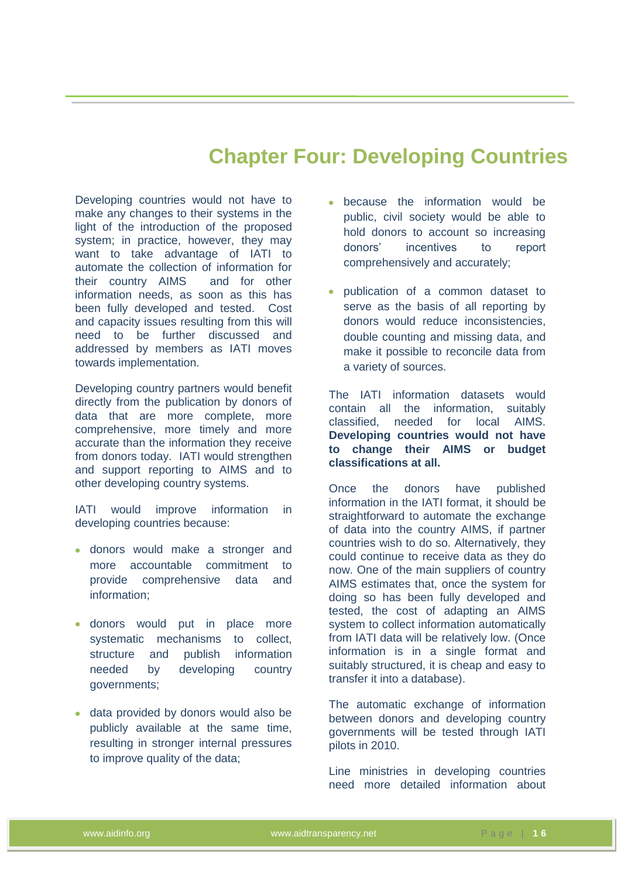## **Chapter Four: Developing Countries**

<span id="page-24-0"></span>Developing countries would not have to make any changes to their systems in the light of the introduction of the proposed system; in practice, however, they may want to take advantage of IATI to automate the collection of information for their country AIMS and for other information needs, as soon as this has been fully developed and tested. Cost and capacity issues resulting from this will need to be further discussed and addressed by members as IATI moves towards implementation.

Developing country partners would benefit directly from the publication by donors of data that are more complete, more comprehensive, more timely and more accurate than the information they receive from donors today. IATI would strengthen and support reporting to AIMS and to other developing country systems.

IATI would improve information in developing countries because:

- donors would make a stronger and more accountable commitment to provide comprehensive data and information;
- donors would put in place more systematic mechanisms to collect, structure and publish information needed by developing country governments;
- data provided by donors would also be publicly available at the same time, resulting in stronger internal pressures to improve quality of the data;
- because the information would be public, civil society would be able to hold donors to account so increasing donors' incentives to report comprehensively and accurately;
- publication of a common dataset to serve as the basis of all reporting by donors would reduce inconsistencies, double counting and missing data, and make it possible to reconcile data from a variety of sources.

The IATI information datasets would contain all the information, suitably classified, needed for local AIMS. **Developing countries would not have to change their AIMS or budget classifications at all.**

Once the donors have published information in the IATI format, it should be straightforward to automate the exchange of data into the country AIMS, if partner countries wish to do so. Alternatively, they could continue to receive data as they do now. One of the main suppliers of country AIMS estimates that, once the system for doing so has been fully developed and tested, the cost of adapting an AIMS system to collect information automatically from IATI data will be relatively low. (Once information is in a single format and suitably structured, it is cheap and easy to transfer it into a database).

The automatic exchange of information between donors and developing country governments will be tested through IATI pilots in 2010.

Line ministries in developing countries need more detailed information about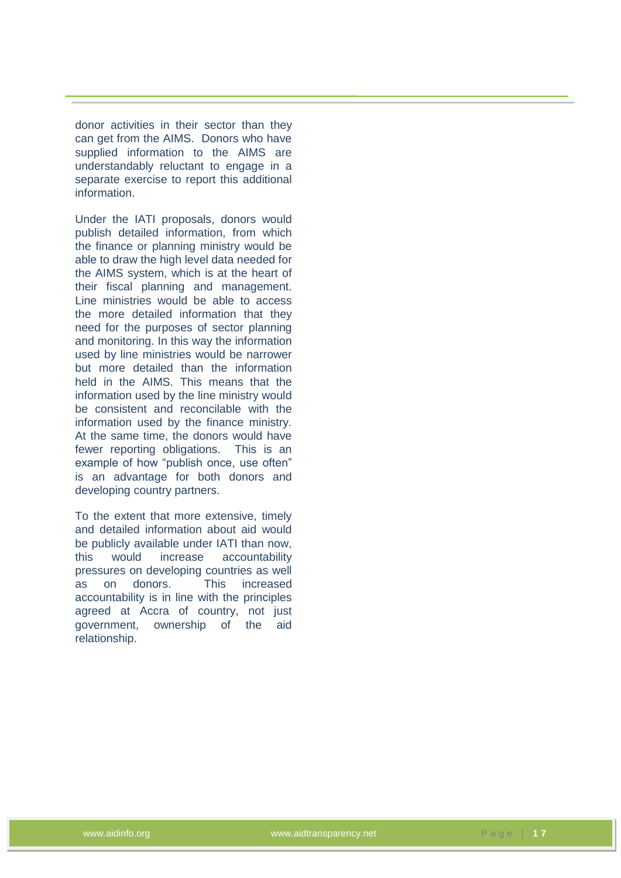donor activities in their sector than they can get from the AIMS. Donors who have supplied information to the AIMS are understandably reluctant to engage in a separate exercise to report this additional information.

Under the IATI proposals, donors would publish detailed information, from which the finance or planning ministry would be able to draw the high level data needed for the AIMS system, which is at the heart of their fiscal planning and management. Line ministries would be able to access the more detailed information that they need for the purposes of sector planning and monitoring. In this way the information used by line ministries would be narrower but more detailed than the information held in the AIMS. This means that the information used by the line ministry would be consistent and reconcilable with the information used by the finance ministry. At the same time, the donors would have fewer reporting obligations. This is an example of how "publish once, use often" is an advantage for both donors and developing country partners.

To the extent that more extensive, timely and detailed information about aid would be publicly available under IATI than now, this would increase accountability pressures on developing countries as well as on donors. This increased accountability is in line with the principles agreed at Accra of country, not just government, ownership of the aid relationship.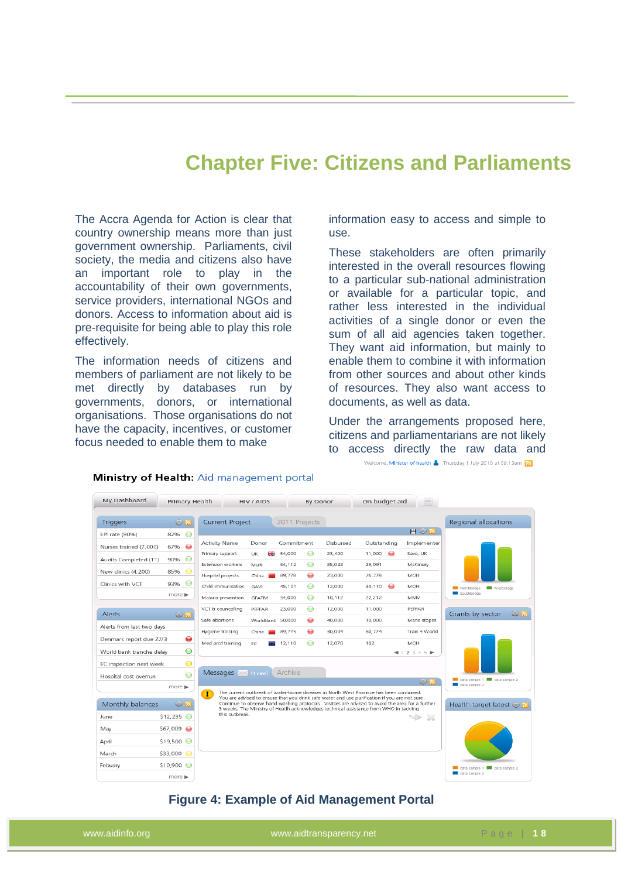### **Chapter Five: Citizens and Parliaments**

<span id="page-26-0"></span>The Accra Agenda for Action is clear that country ownership means more than just government ownership. Parliaments, civil society, the media and citizens also have an important role to play in the accountability of their own governments, service providers, international NGOs and donors. Access to information about aid is pre-requisite for being able to play this role effectively.

The information needs of citizens and members of parliament are not likely to be met directly by databases run by governments, donors, or international organisations. Those organisations do not have the capacity, incentives, or customer focus needed to enable them to make

information easy to access and simple to use.

These stakeholders are often primarily interested in the overall resources flowing to a particular sub-national administration or available for a particular topic, and rather less interested in the individual activities of a single donor or even the sum of all aid agencies taken together. They want aid information, but mainly to enable them to combine it with information from other sources and about other kinds of resources. They also want access to documents, as well as data.

Under the arrangements proposed here, citizens and parliamentarians are not likely to access directly the raw data and

Welcome, **Minister of health &** Thursday 1 July 2010 at 09:13am



Ministry of Health: Aid management portal

#### **Figure 4: Example of Aid Management Portal**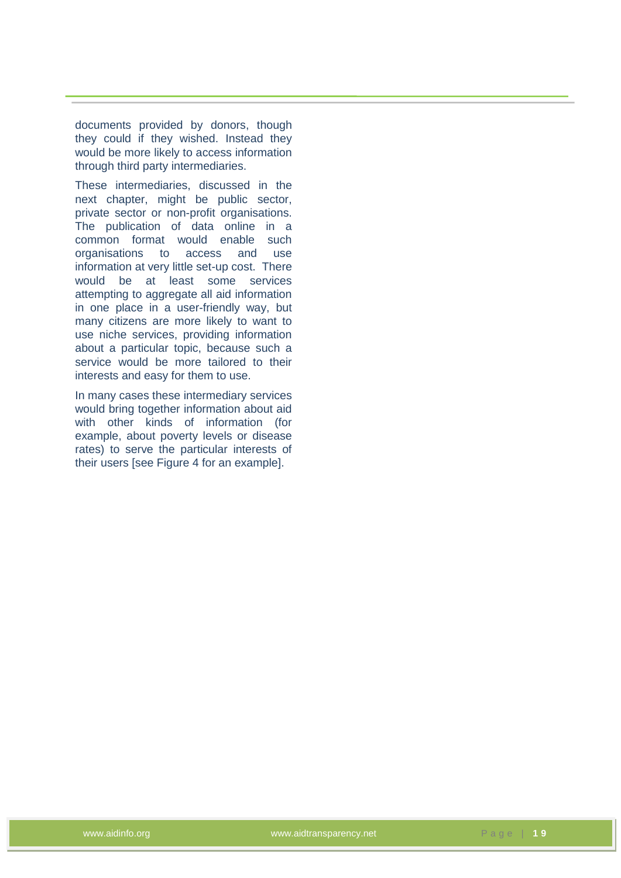documents provided by donors, though they could if they wished. Instead they would be more likely to access information through third party intermediaries.

These intermediaries, discussed in the next chapter, might be public sector, private sector or non-profit organisations. The publication of data online in a common format would enable such organisations to access and use information at very little set-up cost. There would be at least some services attempting to aggregate all aid information in one place in a user-friendly way, but many citizens are more likely to want to use niche services, providing information about a particular topic, because such a service would be more tailored to their interests and easy for them to use.

In many cases these intermediary services would bring together information about aid with other kinds of information (for example, about poverty levels or disease rates) to serve the particular interests of their users [see Figure 4 for an example].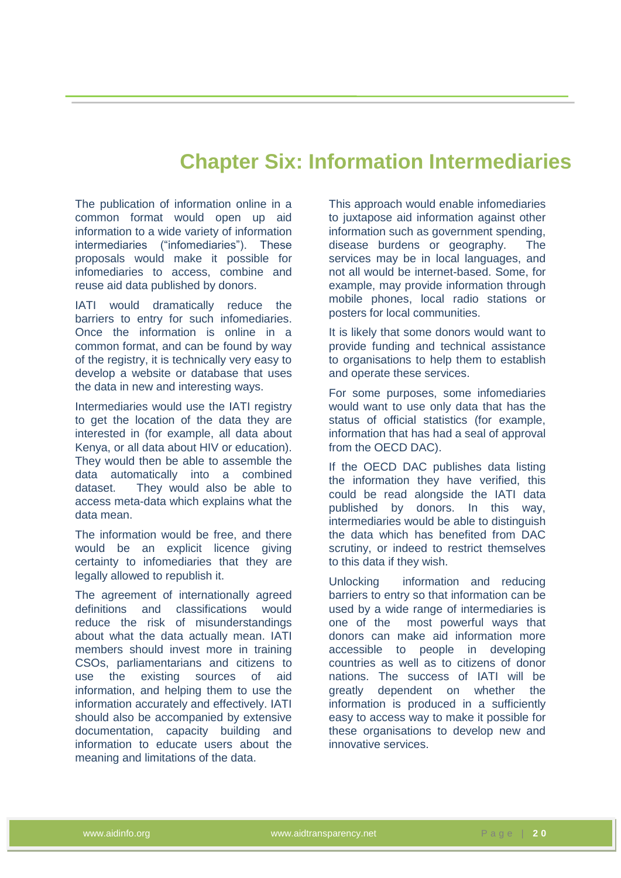## **Chapter Six: Information Intermediaries**

<span id="page-28-0"></span>The publication of information online in a common format would open up aid information to a wide variety of information intermediaries ("infomediaries"). These proposals would make it possible for infomediaries to access, combine and reuse aid data published by donors.

IATI would dramatically reduce the barriers to entry for such infomediaries. Once the information is online in a common format, and can be found by way of the registry, it is technically very easy to develop a website or database that uses the data in new and interesting ways.

Intermediaries would use the IATI registry to get the location of the data they are interested in (for example, all data about Kenya, or all data about HIV or education). They would then be able to assemble the data automatically into a combined dataset. They would also be able to access meta-data which explains what the data mean.

The information would be free, and there would be an explicit licence giving certainty to infomediaries that they are legally allowed to republish it.

The agreement of internationally agreed definitions and classifications would reduce the risk of misunderstandings about what the data actually mean. IATI members should invest more in training CSOs, parliamentarians and citizens to use the existing sources of aid information, and helping them to use the information accurately and effectively. IATI should also be accompanied by extensive documentation, capacity building and information to educate users about the meaning and limitations of the data.

This approach would enable infomediaries to juxtapose aid information against other information such as government spending, disease burdens or geography. The services may be in local languages, and not all would be internet-based. Some, for example, may provide information through mobile phones, local radio stations or posters for local communities.

It is likely that some donors would want to provide funding and technical assistance to organisations to help them to establish and operate these services.

For some purposes, some infomediaries would want to use only data that has the status of official statistics (for example, information that has had a seal of approval from the OECD DAC).

If the OECD DAC publishes data listing the information they have verified, this could be read alongside the IATI data published by donors. In this way, intermediaries would be able to distinguish the data which has benefited from DAC scrutiny, or indeed to restrict themselves to this data if they wish.

Unlocking information and reducing barriers to entry so that information can be used by a wide range of intermediaries is one of the most powerful ways that donors can make aid information more accessible to people in developing countries as well as to citizens of donor nations. The success of IATI will be greatly dependent on whether the information is produced in a sufficiently easy to access way to make it possible for these organisations to develop new and innovative services.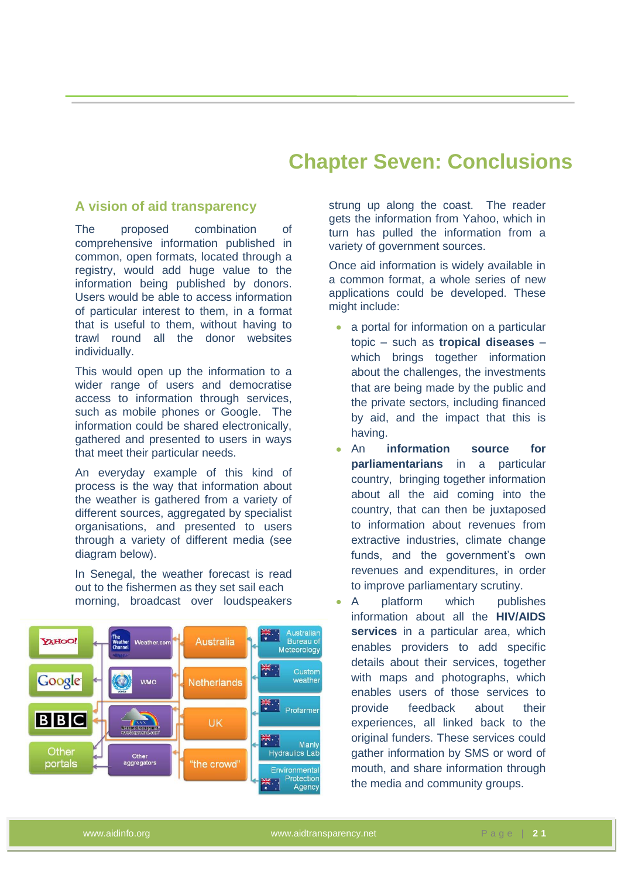## **Chapter Seven: Conclusions**

#### <span id="page-29-1"></span><span id="page-29-0"></span>**A vision of aid transparency**

The proposed combination of comprehensive information published in common, open formats, located through a registry, would add huge value to the information being published by donors. Users would be able to access information of particular interest to them, in a format that is useful to them, without having to trawl round all the donor websites individually.

This would open up the information to a wider range of users and democratise access to information through services, such as mobile phones or Google. The information could be shared electronically, gathered and presented to users in ways that meet their particular needs.

An everyday example of this kind of process is the way that information about the weather is gathered from a variety of different sources, aggregated by specialist organisations, and presented to users through a variety of different media (see diagram below).

In Senegal, the weather forecast is read out to the fishermen as they set sail each morning, broadcast over loudspeakers



strung up along the coast. The reader gets the information from Yahoo, which in turn has pulled the information from a variety of government sources.

Once aid information is widely available in a common format, a whole series of new applications could be developed. These might include:

- a portal for information on a particular topic – such as **tropical diseases** – which brings together information about the challenges, the investments that are being made by the public and the private sectors, including financed by aid, and the impact that this is having.
- An **information source for parliamentarians** in a particular country, bringing together information about all the aid coming into the country, that can then be juxtaposed to information about revenues from extractive industries, climate change funds, and the government's own revenues and expenditures, in order to improve parliamentary scrutiny.
- A platform which publishes information about all the **HIV/AIDS services** in a particular area, which enables providers to add specific details about their services, together with maps and photographs, which enables users of those services to provide feedback about their experiences, all linked back to the original funders. These services could gather information by SMS or word of mouth, and share information through the media and community groups.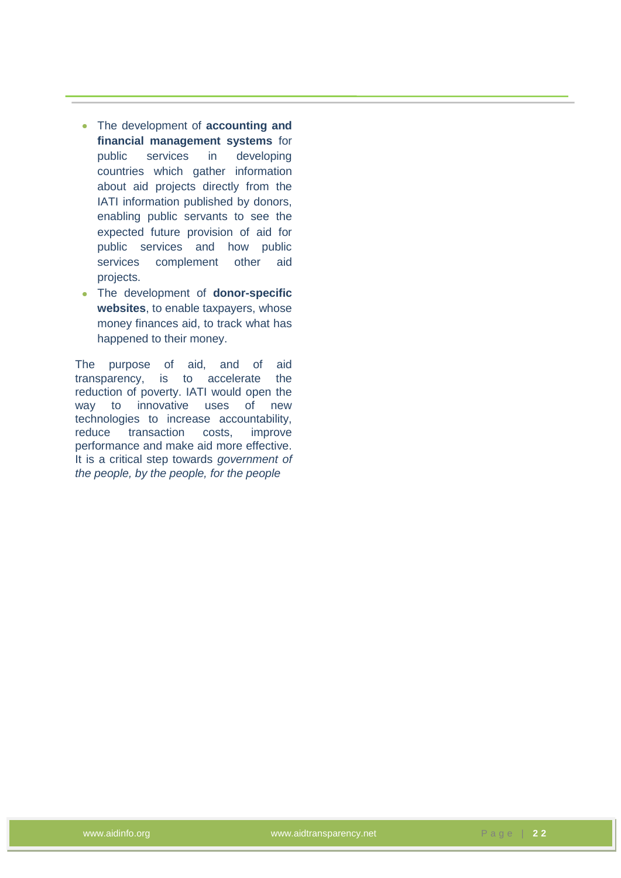- $\bullet$ The development of **accounting and financial management systems** for public services in developing countries which gather information about aid projects directly from the IATI information published by donors, enabling public servants to see the expected future provision of aid for public services and how public services complement other aid projects.
- The development of **donor-specific**   $\bullet$ **websites**, to enable taxpayers, whose money finances aid, to track what has happened to their money.

The purpose of aid, and of aid transparency, is to accelerate the reduction of poverty. IATI would open the way to innovative uses of new technologies to increase accountability, reduce transaction costs, improve performance and make aid more effective. It is a critical step towards *government of the people, by the people, for the people*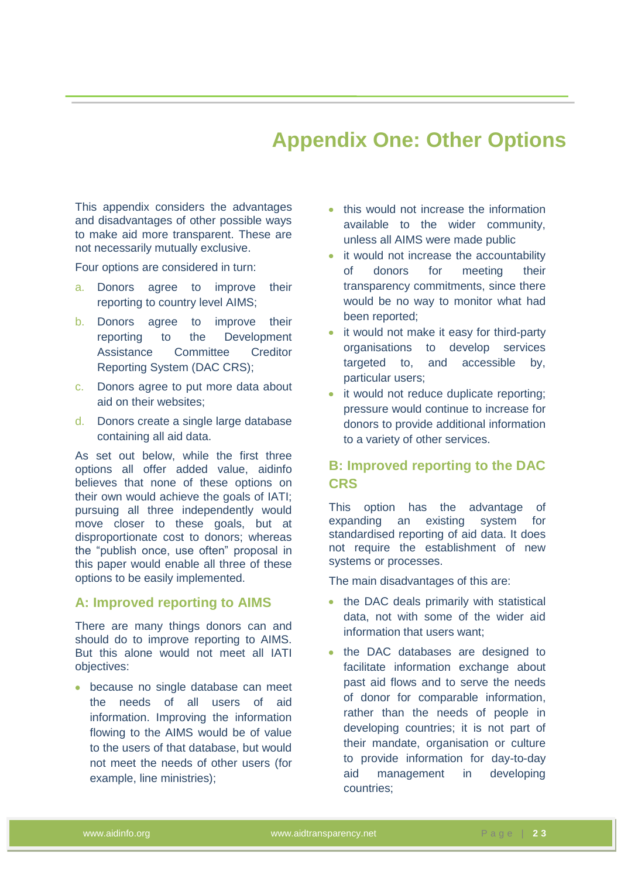## **Appendix One: Other Options**

<span id="page-31-0"></span>This appendix considers the advantages and disadvantages of other possible ways to make aid more transparent. These are not necessarily mutually exclusive.

Four options are considered in turn:

- a. Donors agree to improve their reporting to country level AIMS;
- b. Donors agree to improve their reporting to the Development Assistance Committee Creditor Reporting System (DAC CRS);
- c. Donors agree to put more data about aid on their websites;
- d. Donors create a single large database containing all aid data.

As set out below, while the first three options all offer added value, aidinfo believes that none of these options on their own would achieve the goals of IATI; pursuing all three independently would move closer to these goals, but at disproportionate cost to donors; whereas the "publish once, use often" proposal in this paper would enable all three of these options to be easily implemented.

#### <span id="page-31-1"></span>**A: Improved reporting to AIMS**

There are many things donors can and should do to improve reporting to AIMS. But this alone would not meet all IATI objectives:

because no single database can meet the needs of all users of aid information. Improving the information flowing to the AIMS would be of value to the users of that database, but would not meet the needs of other users (for example, line ministries);

- this would not increase the information available to the wider community, unless all AIMS were made public
- it would not increase the accountability of donors for meeting their transparency commitments, since there would be no way to monitor what had been reported;
- it would not make it easy for third-party organisations to develop services targeted to, and accessible by, particular users;
- it would not reduce duplicate reporting; pressure would continue to increase for donors to provide additional information to a variety of other services.

#### <span id="page-31-2"></span>**B: Improved reporting to the DAC CRS**

This option has the advantage of expanding an existing system for standardised reporting of aid data. It does not require the establishment of new systems or processes.

The main disadvantages of this are:

- the DAC deals primarily with statistical data, not with some of the wider aid information that users want;
- the DAC databases are designed to facilitate information exchange about past aid flows and to serve the needs of donor for comparable information, rather than the needs of people in developing countries; it is not part of their mandate, organisation or culture to provide information for day-to-day aid management in developing countries;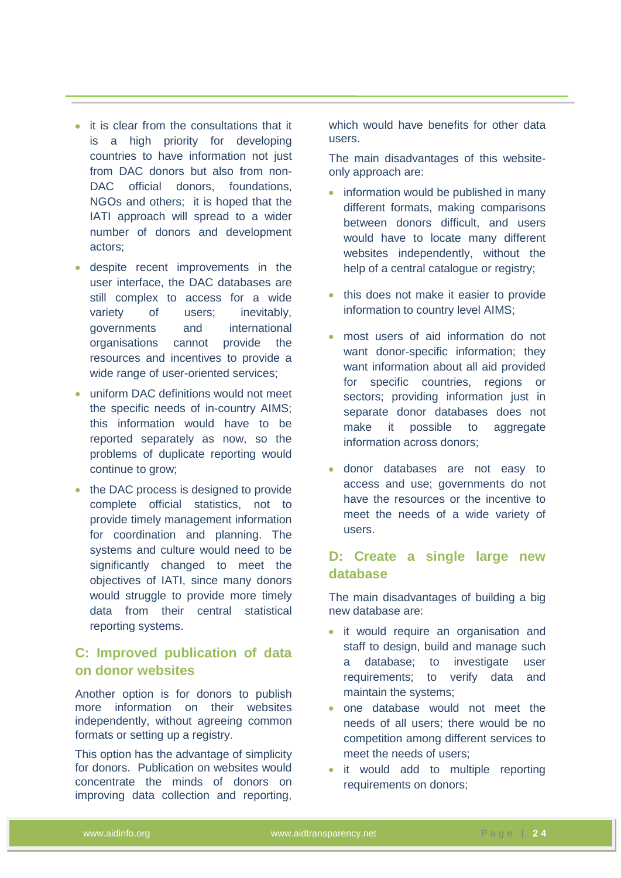- it is clear from the consultations that it is a high priority for developing countries to have information not just from DAC donors but also from non-DAC official donors, foundations, NGOs and others; it is hoped that the IATI approach will spread to a wider number of donors and development actors;
- despite recent improvements in the user interface, the DAC databases are still complex to access for a wide variety of users; inevitably, governments and international organisations cannot provide the resources and incentives to provide a wide range of user-oriented services;
- uniform DAC definitions would not meet the specific needs of in-country AIMS; this information would have to be reported separately as now, so the problems of duplicate reporting would continue to grow;
- the DAC process is designed to provide complete official statistics, not to provide timely management information for coordination and planning. The systems and culture would need to be significantly changed to meet the objectives of IATI, since many donors would struggle to provide more timely data from their central statistical reporting systems.

#### <span id="page-32-0"></span>**C: Improved publication of data on donor websites**

Another option is for donors to publish more information on their websites independently, without agreeing common formats or setting up a registry.

This option has the advantage of simplicity for donors. Publication on websites would concentrate the minds of donors on improving data collection and reporting,

which would have benefits for other data users.

The main disadvantages of this websiteonly approach are:

- information would be published in many different formats, making comparisons between donors difficult, and users would have to locate many different websites independently, without the help of a central catalogue or registry;
- this does not make it easier to provide information to country level AIMS;
- most users of aid information do not want donor-specific information; they want information about all aid provided for specific countries, regions or sectors; providing information just in separate donor databases does not make it possible to aggregate information across donors;
- donor databases are not easy to access and use; governments do not have the resources or the incentive to meet the needs of a wide variety of users.

#### <span id="page-32-1"></span>**D: Create a single large new database**

The main disadvantages of building a big new database are:

- it would require an organisation and staff to design, build and manage such a database; to investigate user requirements; to verify data and maintain the systems;
- one database would not meet the needs of all users; there would be no competition among different services to meet the needs of users;
- it would add to multiple reporting requirements on donors;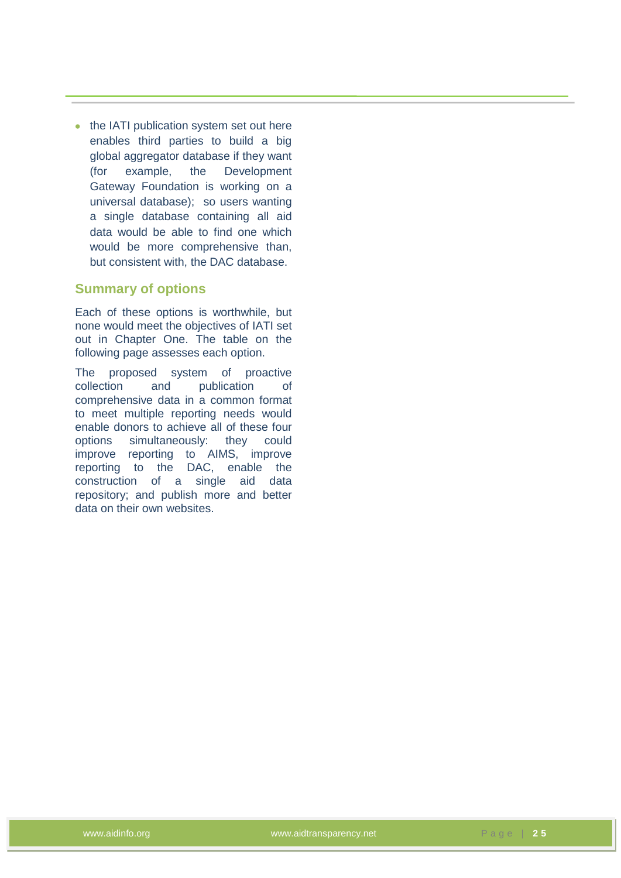• the IATI publication system set out here enables third parties to build a big global aggregator database if they want (for example, the Development Gateway Foundation is working on a universal database); so users wanting a single database containing all aid data would be able to find one which would be more comprehensive than, but consistent with, the DAC database.

#### <span id="page-33-0"></span>**Summary of options**

Each of these options is worthwhile, but none would meet the objectives of IATI set out in Chapter One. The table on the following page assesses each option.

The proposed system of proactive collection and publication of comprehensive data in a common format to meet multiple reporting needs would enable donors to achieve all of these four options simultaneously: they could improve reporting to AIMS, improve reporting to the DAC, enable the construction of a single aid data repository; and publish more and better data on their own websites.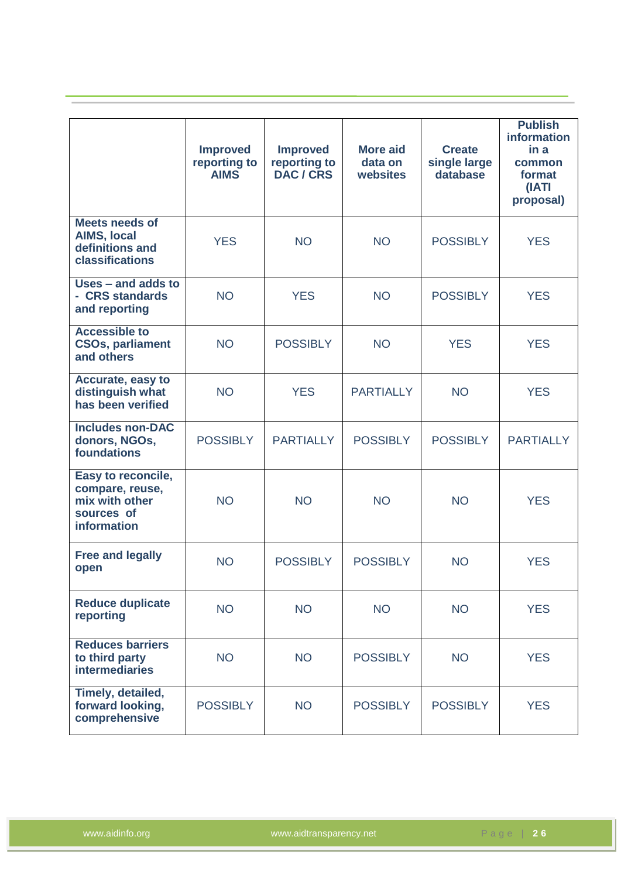|                                                                                      | <b>Improved</b><br>reporting to<br><b>AIMS</b> | <b>Improved</b><br>reporting to<br>DAC / CRS | <b>More aid</b><br>data on<br>websites | <b>Create</b><br>single large<br>database | <b>Publish</b><br>information<br>in a<br>common<br>format<br>(IATI<br>proposal) |
|--------------------------------------------------------------------------------------|------------------------------------------------|----------------------------------------------|----------------------------------------|-------------------------------------------|---------------------------------------------------------------------------------|
| <b>Meets needs of</b><br><b>AIMS, local</b><br>definitions and<br>classifications    | <b>YES</b>                                     | <b>NO</b>                                    | <b>NO</b>                              | <b>POSSIBLY</b>                           | <b>YES</b>                                                                      |
| Uses - and adds to<br>- CRS standards<br>and reporting                               | <b>NO</b>                                      | <b>YES</b>                                   | <b>NO</b>                              | <b>POSSIBLY</b>                           | <b>YES</b>                                                                      |
| <b>Accessible to</b><br><b>CSOs, parliament</b><br>and others                        | <b>NO</b>                                      | <b>POSSIBLY</b>                              | <b>NO</b>                              | <b>YES</b>                                | <b>YES</b>                                                                      |
| Accurate, easy to<br>distinguish what<br>has been verified                           | <b>NO</b>                                      | <b>YES</b>                                   | <b>PARTIALLY</b>                       | <b>NO</b>                                 | <b>YES</b>                                                                      |
| <b>Includes non-DAC</b><br>donors, NGOs,<br>foundations                              | <b>POSSIBLY</b>                                | <b>PARTIALLY</b>                             | <b>POSSIBLY</b>                        | <b>POSSIBLY</b>                           | <b>PARTIALLY</b>                                                                |
| Easy to reconcile,<br>compare, reuse,<br>mix with other<br>sources of<br>information | <b>NO</b>                                      | <b>NO</b>                                    | <b>NO</b>                              | <b>NO</b>                                 | <b>YES</b>                                                                      |
| <b>Free and legally</b><br>open                                                      | <b>NO</b>                                      | <b>POSSIBLY</b>                              | <b>POSSIBLY</b>                        | <b>NO</b>                                 | <b>YES</b>                                                                      |
| <b>Reduce duplicate</b><br>reporting                                                 | <b>NO</b>                                      | <b>NO</b>                                    | <b>NO</b>                              | <b>NO</b>                                 | <b>YES</b>                                                                      |
| <b>Reduces barriers</b><br>to third party<br><b>intermediaries</b>                   | <b>NO</b>                                      | <b>NO</b>                                    | <b>POSSIBLY</b>                        | <b>NO</b>                                 | <b>YES</b>                                                                      |
| Timely, detailed,<br>forward looking,<br>comprehensive                               | <b>POSSIBLY</b>                                | <b>NO</b>                                    | <b>POSSIBLY</b>                        | <b>POSSIBLY</b>                           | <b>YES</b>                                                                      |